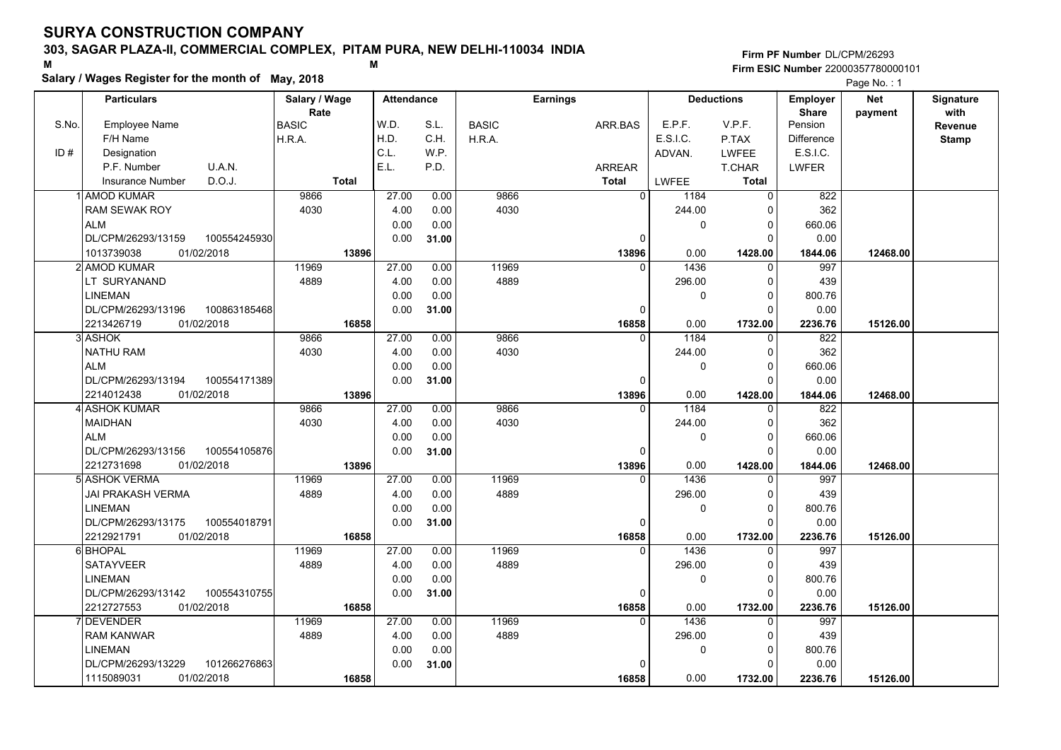## **303, SAGAR PLAZA-II, COMMERCIAL COMPLEX, PITAM PURA, NEW DELHI-110034 INDIA**

**Salary / Wages Register for the month of May, 2018 <sup>M</sup> <sup>M</sup>**

### **Firm PF Number**DL/CPM/26293**Firm ESIC Number** 22000357780000101

|       | <b>Particulars</b>                 | Salary / Wage        | <b>Attendance</b> |       |              | <b>Earnings</b> |                        | <b>Deductions</b> | Employer                | <b>Net</b> | Signature              |
|-------|------------------------------------|----------------------|-------------------|-------|--------------|-----------------|------------------------|-------------------|-------------------------|------------|------------------------|
| S.No. | Employee Name                      | Rate<br><b>BASIC</b> | W.D.              | S.L.  | <b>BASIC</b> | ARR.BAS         | E.P.F.                 | V.P.F.            | <b>Share</b><br>Pension | payment    | with<br><b>Revenue</b> |
|       | F/H Name                           | H.R.A.               | H.D.              | C.H.  | H.R.A.       |                 | E.S.I.C.               | P.TAX             | <b>Difference</b>       |            | <b>Stamp</b>           |
| ID#   | Designation                        |                      | C.L.              | W.P.  |              |                 | ADVAN.                 | <b>LWFEE</b>      | E.S.I.C.                |            |                        |
|       | U.A.N.<br>P.F. Number              |                      | E.L.              | P.D.  |              | <b>ARREAR</b>   |                        | T.CHAR            | <b>LWFER</b>            |            |                        |
|       | D.O.J.<br><b>Insurance Number</b>  | <b>Total</b>         |                   |       |              | <b>Total</b>    | LWFEE                  | <b>Total</b>      |                         |            |                        |
|       | <b>AMOD KUMAR</b>                  | 9866                 | 27.00             | 0.00  | 9866         |                 | $\overline{0}$<br>1184 | 0                 | 822                     |            |                        |
|       | <b>RAM SEWAK ROY</b>               | 4030                 | 4.00              | 0.00  | 4030         |                 | 244.00                 | $\mathbf 0$       | 362                     |            |                        |
|       | <b>ALM</b>                         |                      | 0.00              | 0.00  |              |                 | 0                      | $\mathbf 0$       | 660.06                  |            |                        |
|       | DL/CPM/26293/13159<br>100554245930 |                      | 0.00              | 31.00 |              |                 | 0                      | $\mathbf 0$       | 0.00                    |            |                        |
|       | 1013739038<br>01/02/2018           | 13896                |                   |       |              | 13896           | 0.00                   | 1428.00           | 1844.06                 | 12468.00   |                        |
|       | 2 AMOD KUMAR                       | 11969                | 27.00             | 0.00  | 11969        |                 | 1436<br>$\Omega$       | 0                 | 997                     |            |                        |
|       | LT SURYANAND                       | 4889                 | 4.00              | 0.00  | 4889         |                 | 296.00                 | $\mathbf 0$       | 439                     |            |                        |
|       | <b>LINEMAN</b>                     |                      | 0.00              | 0.00  |              |                 | 0                      | $\mathbf 0$       | 800.76                  |            |                        |
|       | DL/CPM/26293/13196<br>100863185468 |                      | 0.00              | 31.00 |              |                 | 0                      | $\mathbf 0$       | 0.00                    |            |                        |
|       | 2213426719<br>01/02/2018           | 16858                |                   |       |              | 16858           | 0.00                   | 1732.00           | 2236.76                 | 15126.00   |                        |
|       | 3 ASHOK                            | 9866                 | 27.00             | 0.00  | 9866         |                 | 1184<br>$\Omega$       | $\mathbf 0$       | 822                     |            |                        |
|       | <b>NATHU RAM</b>                   | 4030                 | 4.00              | 0.00  | 4030         |                 | 244.00                 | $\mathbf 0$       | 362                     |            |                        |
|       | <b>ALM</b>                         |                      | 0.00              | 0.00  |              |                 | 0                      | $\mathbf 0$       | 660.06                  |            |                        |
|       | DL/CPM/26293/13194<br>100554171389 |                      | 0.00              | 31.00 |              |                 | 0                      | $\Omega$          | 0.00                    |            |                        |
|       | 01/02/2018<br>2214012438           | 13896                |                   |       |              | 13896           | 0.00                   | 1428.00           | 1844.06                 | 12468.00   |                        |
|       | 4 ASHOK KUMAR                      | 9866                 | 27.00             | 0.00  | 9866         |                 | 1184<br>$\Omega$       | 0                 | 822                     |            |                        |
|       | <b>MAIDHAN</b>                     | 4030                 | 4.00              | 0.00  | 4030         |                 | 244.00                 | $\mathbf 0$       | 362                     |            |                        |
|       | <b>ALM</b>                         |                      | 0.00              | 0.00  |              |                 | 0                      | $\mathbf 0$       | 660.06                  |            |                        |
|       | DL/CPM/26293/13156<br>100554105876 |                      | 0.00              | 31.00 |              |                 | 0                      | $\Omega$          | 0.00                    |            |                        |
|       | 01/02/2018<br>2212731698           | 13896                |                   |       |              | 13896           | 0.00                   | 1428.00           | 1844.06                 | 12468.00   |                        |
|       | 5 ASHOK VERMA                      | 11969                | 27.00             | 0.00  | 11969        |                 | 1436<br>$\Omega$       | 0                 | 997                     |            |                        |
|       | JAI PRAKASH VERMA                  | 4889                 | 4.00              | 0.00  | 4889         |                 | 296.00                 | 0                 | 439                     |            |                        |
|       | <b>LINEMAN</b>                     |                      | 0.00              | 0.00  |              |                 | 0                      | $\mathbf 0$       | 800.76                  |            |                        |
|       | DL/CPM/26293/13175<br>100554018791 |                      | 0.00              | 31.00 |              |                 | 0                      | $\Omega$          | 0.00                    |            |                        |
|       | 01/02/2018<br>2212921791           | 16858                |                   |       |              | 16858           | 0.00                   | 1732.00           | 2236.76                 | 15126.00   |                        |
|       | 6 BHOPAL                           | 11969                | 27.00             | 0.00  | 11969        |                 | 1436<br>$\Omega$       | 0                 | 997                     |            |                        |
|       | <b>SATAYVEER</b>                   | 4889                 | 4.00              | 0.00  | 4889         |                 | 296.00                 | $\Omega$          | 439                     |            |                        |
|       | <b>LINEMAN</b>                     |                      | 0.00              | 0.00  |              |                 | $\mathbf 0$            | $\mathbf 0$       | 800.76                  |            |                        |
|       | 100554310755<br>DL/CPM/26293/13142 |                      | 0.00              | 31.00 |              |                 | 0                      | $\Omega$          | 0.00                    |            |                        |
|       | 2212727553<br>01/02/2018           | 16858                |                   |       |              | 16858           | 0.00                   | 1732.00           | 2236.76                 | 15126.00   |                        |
|       | DEVENDER                           | 11969                | 27.00             | 0.00  | 11969        |                 | 1436<br>$\overline{0}$ | $\overline{0}$    | 997                     |            |                        |
|       | <b>RAM KANWAR</b>                  | 4889                 | 4.00              | 0.00  | 4889         |                 | 296.00                 | $\mathbf 0$       | 439                     |            |                        |
|       | <b>LINEMAN</b>                     |                      | 0.00              | 0.00  |              |                 | 0                      | $\mathbf 0$       | 800.76                  |            |                        |
|       | 101266276863<br>DL/CPM/26293/13229 |                      | 0.00              | 31.00 |              |                 | $\Omega$               | $\Omega$          | 0.00                    |            |                        |
|       | 01/02/2018<br>1115089031           | 16858                |                   |       |              | 16858           | 0.00                   | 1732.00           | 2236.76                 | 15126.00   |                        |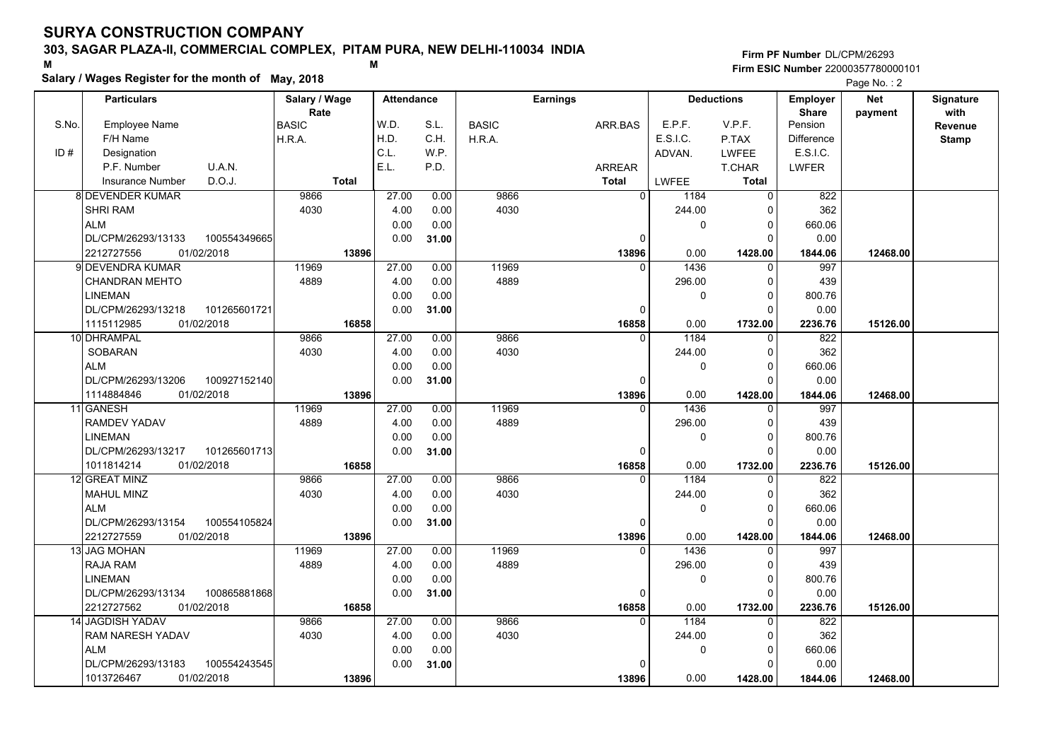## **303, SAGAR PLAZA-II, COMMERCIAL COMPLEX, PITAM PURA, NEW DELHI-110034 INDIA**

**Salary / Wages Register for the month of May, 2018 <sup>M</sup> <sup>M</sup>**

#### **Firm PF Number**DL/CPM/26293**Firm ESIC Number** 22000357780000101

|       | <b>Particulars</b>       |              | Salary / Wage        |       | <b>Attendance</b> |              | <b>Earnings</b> |          | <b>Deductions</b> | Employer                | <b>Net</b> | Signature       |
|-------|--------------------------|--------------|----------------------|-------|-------------------|--------------|-----------------|----------|-------------------|-------------------------|------------|-----------------|
| S.No. | Employee Name            |              | Rate<br><b>BASIC</b> | W.D.  | S.L.              | <b>BASIC</b> | ARR.BAS         | E.P.F.   | V.P.F.            | <b>Share</b><br>Pension | payment    | with<br>Revenue |
|       | F/H Name                 |              | H.R.A.               | H.D.  | C.H.              | H.R.A.       |                 | E.S.I.C. | P.TAX             | <b>Difference</b>       |            | <b>Stamp</b>    |
| ID#   | Designation              |              |                      | C.L.  | W.P.              |              |                 | ADVAN.   | <b>LWFEE</b>      | E.S.I.C.                |            |                 |
|       | P.F. Number              | U.A.N.       |                      | E.L.  | P.D.              |              | <b>ARREAR</b>   |          | T.CHAR            | <b>LWFER</b>            |            |                 |
|       | Insurance Number         | D.O.J.       | <b>Total</b>         |       |                   |              | <b>Total</b>    | LWFEE    | <b>Total</b>      |                         |            |                 |
|       | 8 DEVENDER KUMAR         |              | 9866                 | 27.00 | 0.00              | 9866         | 0               | 1184     | $\Omega$          | 822                     |            |                 |
|       | <b>SHRI RAM</b>          |              | 4030                 | 4.00  | 0.00              | 4030         |                 | 244.00   | 0                 | 362                     |            |                 |
|       | <b>ALM</b>               |              |                      | 0.00  | 0.00              |              |                 | 0        | 0                 | 660.06                  |            |                 |
|       | DL/CPM/26293/13133       | 100554349665 |                      | 0.00  | 31.00             |              | 0               |          | $\Omega$          | 0.00                    |            |                 |
|       | 01/02/2018<br>2212727556 |              | 13896                |       |                   |              | 13896           | 0.00     | 1428.00           | 1844.06                 | 12468.00   |                 |
|       | 9l DEVENDRA KUMAR        |              | 11969                | 27.00 | 0.00              | 11969        | $\Omega$        | 1436     | $\Omega$          | 997                     |            |                 |
|       | <b>CHANDRAN MEHTO</b>    |              | 4889                 | 4.00  | 0.00              | 4889         |                 | 296.00   | 0                 | 439                     |            |                 |
|       | <b>LINEMAN</b>           |              |                      | 0.00  | 0.00              |              |                 | 0        | $\Omega$          | 800.76                  |            |                 |
|       | DL/CPM/26293/13218       | 101265601721 |                      | 0.00  | 31.00             |              | $\Omega$        |          | $\Omega$          | 0.00                    |            |                 |
|       | 1115112985<br>01/02/2018 |              | 16858                |       |                   |              | 16858           | 0.00     | 1732.00           | 2236.76                 | 15126.00   |                 |
|       | 10 DHRAMPAL              |              | 9866                 | 27.00 | 0.00              | 9866         | $\Omega$        | 1184     | $\mathbf 0$       | 822                     |            |                 |
|       | SOBARAN                  |              | 4030                 | 4.00  | 0.00              | 4030         |                 | 244.00   | $\mathbf 0$       | 362                     |            |                 |
|       | <b>ALM</b>               |              |                      | 0.00  | 0.00              |              |                 | 0        | $\mathbf 0$       | 660.06                  |            |                 |
|       | DL/CPM/26293/13206       | 100927152140 |                      | 0.00  | 31.00             |              | $\Omega$        |          | $\Omega$          | 0.00                    |            |                 |
|       | 01/02/2018<br>1114884846 |              | 13896                |       |                   |              | 13896           | 0.00     | 1428.00           | 1844.06                 | 12468.00   |                 |
|       | 11 GANESH                |              | 11969                | 27.00 | 0.00              | 11969        | $\Omega$        | 1436     | $\Omega$          | 997                     |            |                 |
|       | RAMDEV YADAV             |              | 4889                 | 4.00  | 0.00              | 4889         |                 | 296.00   | $\mathbf 0$       | 439                     |            |                 |
|       | <b>LINEMAN</b>           |              |                      | 0.00  | 0.00              |              |                 | 0        | $\Omega$          | 800.76                  |            |                 |
|       | DL/CPM/26293/13217       | 101265601713 |                      | 0.00  | 31.00             |              | 0               |          | $\Omega$          | 0.00                    |            |                 |
|       | 1011814214<br>01/02/2018 |              | 16858                |       |                   |              | 16858           | 0.00     | 1732.00           | 2236.76                 | 15126.00   |                 |
|       | 12 GREAT MINZ            |              | 9866                 | 27.00 | 0.00              | 9866         | $\Omega$        | 1184     | $\Omega$          | 822                     |            |                 |
|       | <b>MAHUL MINZ</b>        |              | 4030                 | 4.00  | 0.00              | 4030         |                 | 244.00   | $\Omega$          | 362                     |            |                 |
|       | <b>ALM</b>               |              |                      | 0.00  | 0.00              |              |                 | 0        | $\mathbf 0$       | 660.06                  |            |                 |
|       | DL/CPM/26293/13154       | 100554105824 |                      | 0.00  | 31.00             |              | 0               |          | $\Omega$          | 0.00                    |            |                 |
|       | 2212727559<br>01/02/2018 |              | 13896                |       |                   |              | 13896           | 0.00     | 1428.00           | 1844.06                 | 12468.00   |                 |
|       | 13 JAG MOHAN             |              | 11969                | 27.00 | 0.00              | 11969        | $\Omega$        | 1436     | $\Omega$          | 997                     |            |                 |
|       | <b>RAJA RAM</b>          |              | 4889                 | 4.00  | 0.00              | 4889         |                 | 296.00   | 0                 | 439                     |            |                 |
|       | <b>LINEMAN</b>           |              |                      | 0.00  | 0.00              |              |                 | 0        | 0                 | 800.76                  |            |                 |
|       | DL/CPM/26293/13134       | 100865881868 |                      | 0.00  | 31.00             |              | 0               |          | $\Omega$          | 0.00                    |            |                 |
|       | 2212727562<br>01/02/2018 |              | 16858                |       |                   |              | 16858           | 0.00     | 1732.00           | 2236.76                 | 15126.00   |                 |
|       | <b>14 JAGDISH YADAV</b>  |              | 9866                 | 27.00 | 0.00              | 9866         | $\Omega$        | 1184     | $\Omega$          | 822                     |            |                 |
|       | RAM NARESH YADAV         |              | 4030                 | 4.00  | 0.00              | 4030         |                 | 244.00   | 0                 | 362                     |            |                 |
|       | <b>ALM</b>               |              |                      | 0.00  | 0.00              |              |                 | 0        | 0                 | 660.06                  |            |                 |
|       | DL/CPM/26293/13183       | 100554243545 |                      | 0.00  | 31.00             |              | 0               |          | $\Omega$          | 0.00                    |            |                 |
|       | 1013726467<br>01/02/2018 |              | 13896                |       |                   |              | 13896           | 0.00     | 1428.00           | 1844.06                 | 12468.00   |                 |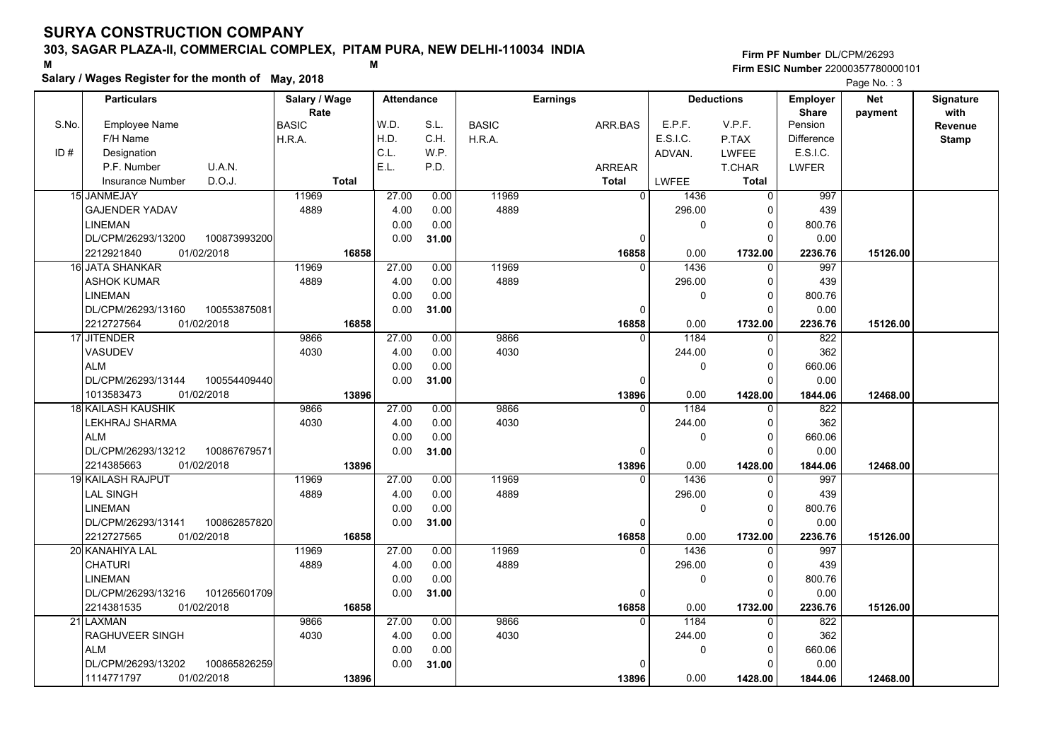## **303, SAGAR PLAZA-II, COMMERCIAL COMPLEX, PITAM PURA, NEW DELHI-110034 INDIA**

**Salary / Wages Register for the month of May, 2018 <sup>M</sup> <sup>M</sup>**

### **Firm PF Number**DL/CPM/26293**Firm ESIC Number** 22000357780000101

|       | <b>Particulars</b>                 | Salary / Wage        | <b>Attendance</b> |       |              | <b>Earnings</b> |              | <b>Deductions</b> | Employer                | <b>Net</b> | Signature       |
|-------|------------------------------------|----------------------|-------------------|-------|--------------|-----------------|--------------|-------------------|-------------------------|------------|-----------------|
| S.No. | Employee Name                      | Rate<br><b>BASIC</b> | W.D.              | S.L.  | <b>BASIC</b> | ARR.BAS         | E.P.F.       | V.P.F.            | <b>Share</b><br>Pension | payment    | with<br>Revenue |
|       | F/H Name                           | H.R.A.               | H.D.              | C.H.  | H.R.A.       |                 | E.S.I.C.     | P.TAX             | <b>Difference</b>       |            | <b>Stamp</b>    |
| ID#   | Designation                        |                      | C.L.              | W.P.  |              |                 | ADVAN.       | <b>LWFEE</b>      | E.S.I.C.                |            |                 |
|       | U.A.N.<br>P.F. Number              |                      | E.L.              | P.D.  |              | ARREAR          |              | T.CHAR            | <b>LWFER</b>            |            |                 |
|       | D.O.J.<br>Insurance Number         | <b>Total</b>         |                   |       |              | <b>Total</b>    | <b>LWFEE</b> | <b>Total</b>      |                         |            |                 |
|       | 15 JANMEJAY                        | 11969                | 27.00             | 0.00  | 11969        | $\overline{0}$  | 1436         | 0                 | 997                     |            |                 |
|       | <b>GAJENDER YADAV</b>              | 4889                 | 4.00              | 0.00  | 4889         |                 | 296.00       | $\Omega$          | 439                     |            |                 |
|       | <b>LINEMAN</b>                     |                      | 0.00              | 0.00  |              |                 | 0            | $\Omega$          | 800.76                  |            |                 |
|       | DL/CPM/26293/13200<br>100873993200 |                      | 0.00              | 31.00 |              | 0               |              | $\Omega$          | 0.00                    |            |                 |
|       | 2212921840<br>01/02/2018           | 16858                |                   |       |              | 16858           | 0.00         | 1732.00           | 2236.76                 | 15126.00   |                 |
|       | 16 JATA SHANKAR                    | 11969                | 27.00             | 0.00  | 11969        | $\Omega$        | 1436         | $\Omega$          | 997                     |            |                 |
|       | ASHOK KUMAR                        | 4889                 | 4.00              | 0.00  | 4889         |                 | 296.00       | 0                 | 439                     |            |                 |
|       | <b>LINEMAN</b>                     |                      | 0.00              | 0.00  |              |                 | 0            | $\Omega$          | 800.76                  |            |                 |
|       | DL/CPM/26293/13160<br>100553875081 |                      | 0.00              | 31.00 |              | 0               |              | $\Omega$          | 0.00                    |            |                 |
|       | 2212727564<br>01/02/2018           | 16858                |                   |       |              | 16858           | 0.00         | 1732.00           | 2236.76                 | 15126.00   |                 |
|       | 17 JITENDER                        | 9866                 | 27.00             | 0.00  | 9866         | $\Omega$        | 1184         | $\Omega$          | 822                     |            |                 |
|       | <b>VASUDEV</b>                     | 4030                 | 4.00              | 0.00  | 4030         |                 | 244.00       | $\Omega$          | 362                     |            |                 |
|       | <b>ALM</b>                         |                      | 0.00              | 0.00  |              |                 | 0            | $\Omega$          | 660.06                  |            |                 |
|       | DL/CPM/26293/13144<br>100554409440 |                      | 0.00              | 31.00 |              | $\Omega$        |              | $\Omega$          | 0.00                    |            |                 |
|       | 1013583473<br>01/02/2018           | 13896                |                   |       |              | 13896           | 0.00         | 1428.00           | 1844.06                 | 12468.00   |                 |
|       | 18 KAILASH KAUSHIK                 | 9866                 | 27.00             | 0.00  | 9866         | $\Omega$        | 1184         | 0                 | 822                     |            |                 |
|       | LEKHRAJ SHARMA                     | 4030                 | 4.00              | 0.00  | 4030         |                 | 244.00       | 0                 | 362                     |            |                 |
|       | <b>ALM</b>                         |                      | 0.00              | 0.00  |              |                 | 0            | $\Omega$          | 660.06                  |            |                 |
|       | DL/CPM/26293/13212<br>100867679571 |                      | 0.00              | 31.00 |              | $\Omega$        |              | $\Omega$          | 0.00                    |            |                 |
|       | 01/02/2018<br>2214385663           | 13896                |                   |       |              | 13896           | 0.00         | 1428.00           | 1844.06                 | 12468.00   |                 |
|       | 19 KAILASH RAJPUT                  | 11969                | 27.00             | 0.00  | 11969        | $\Omega$        | 1436         | $\Omega$          | 997                     |            |                 |
|       | LAL SINGH                          | 4889                 | 4.00              | 0.00  | 4889         |                 | 296.00       | 0                 | 439                     |            |                 |
|       | <b>LINEMAN</b>                     |                      | 0.00              | 0.00  |              |                 | 0            | $\Omega$          | 800.76                  |            |                 |
|       | DL/CPM/26293/13141<br>100862857820 |                      | 0.00              | 31.00 |              | 0               |              | $\Omega$          | 0.00                    |            |                 |
|       | 2212727565<br>01/02/2018           | 16858                |                   |       |              | 16858           | 0.00         | 1732.00           | 2236.76                 | 15126.00   |                 |
|       | 20 KANAHIYA LAL                    | 11969                | 27.00             | 0.00  | 11969        | 0               | 1436         | $\mathbf 0$       | 997                     |            |                 |
|       | <b>CHATURI</b>                     | 4889                 | 4.00              | 0.00  | 4889         |                 | 296.00       | $\Omega$          | 439                     |            |                 |
|       | <b>LINEMAN</b>                     |                      | 0.00              | 0.00  |              |                 | 0            | $\Omega$          | 800.76                  |            |                 |
|       | 101265601709<br>DL/CPM/26293/13216 |                      | 0.00              | 31.00 |              | 0               |              | $\Omega$          | 0.00                    |            |                 |
|       | 01/02/2018<br>2214381535           | 16858                |                   |       |              | 16858           | 0.00         | 1732.00           | 2236.76                 | 15126.00   |                 |
|       | 21 LAXMAN                          | 9866                 | 27.00             | 0.00  | 9866         | $\Omega$        | 1184         | $\Omega$          | 822                     |            |                 |
|       | RAGHUVEER SINGH                    | 4030                 | 4.00              | 0.00  | 4030         |                 | 244.00       | $\Omega$          | 362                     |            |                 |
|       | <b>ALM</b>                         |                      | 0.00              | 0.00  |              |                 | 0            | $\Omega$          | 660.06                  |            |                 |
|       | 100865826259<br>DL/CPM/26293/13202 |                      | 0.00              | 31.00 |              | $\Omega$        |              | $\Omega$          | 0.00                    |            |                 |
|       | 1114771797<br>01/02/2018           | 13896                |                   |       |              | 13896           | 0.00         | 1428.00           | 1844.06                 | 12468.00   |                 |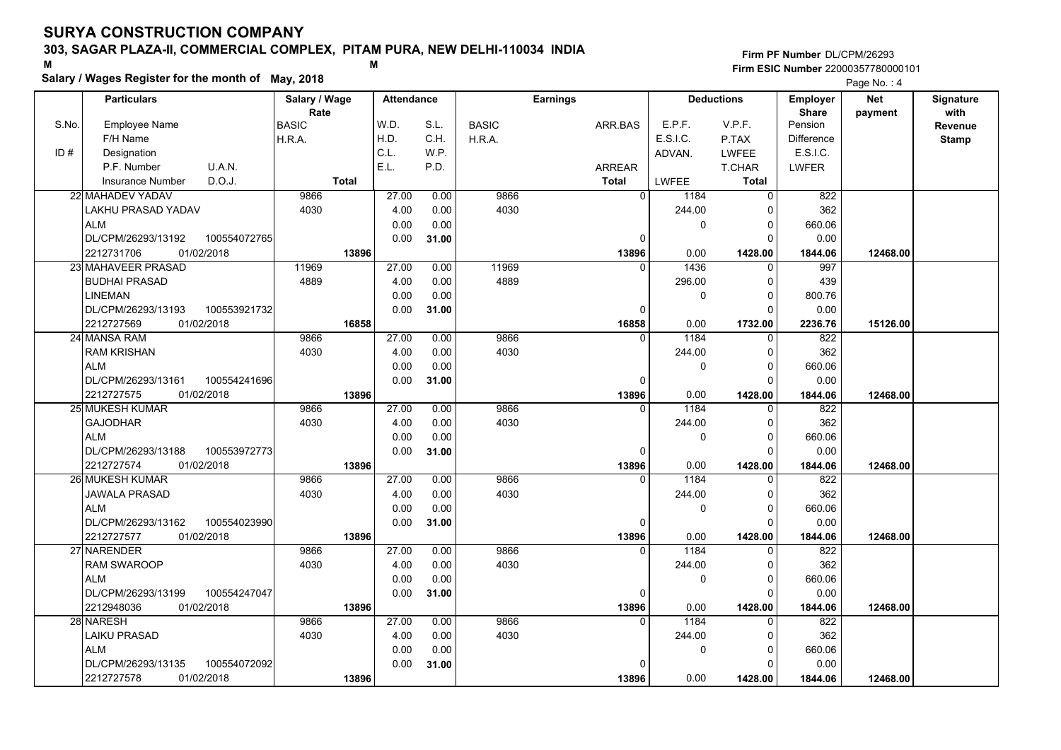## **303, SAGAR PLAZA-II, COMMERCIAL COMPLEX, PITAM PURA, NEW DELHI-110034 INDIA**

**Salary / Wages Register for the month of May, 2018 <sup>M</sup> <sup>M</sup>**

### **Firm PF Number**DL/CPM/26293**Firm ESIC Number** 22000357780000101

|       | <b>Particulars</b>                          |              | Salary / Wage |              | <b>Attendance</b> |              |              | Earnings      |                          | <b>Deductions</b>    | Employer                    | <b>Net</b> | Signature              |
|-------|---------------------------------------------|--------------|---------------|--------------|-------------------|--------------|--------------|---------------|--------------------------|----------------------|-----------------------------|------------|------------------------|
| S.No. | Employee Name                               |              | Rate<br>BASIC |              | W.D.              | S.L.         | <b>BASIC</b> | ARR.BAS       | E.P.F.                   | V.P.F.               | <b>Share</b><br>Pension     | payment    | with<br><b>Revenue</b> |
|       | F/H Name                                    |              | H.R.A.        |              | H.D.              | C.H.         | H.R.A.       |               | E.S.I.C.                 | P.TAX                | <b>Difference</b>           |            |                        |
| ID#   | Designation                                 |              |               |              | C.L.              | W.P.         |              |               | ADVAN.                   | <b>LWFEE</b>         | E.S.I.C.                    |            | <b>Stamp</b>           |
|       | P.F. Number                                 | U.A.N.       |               |              | E.L.              | P.D.         |              | <b>ARREAR</b> |                          | T.CHAR               | <b>LWFER</b>                |            |                        |
|       | Insurance Number                            | D.O.J.       |               | <b>Total</b> |                   |              |              | <b>Total</b>  | LWFEE                    | <b>Total</b>         |                             |            |                        |
|       | 22 MAHADEV YADAV                            |              | 9866          |              | 27.00             | 0.00         | 9866         |               | $\overline{0}$<br>1184   | 0                    | 822                         |            |                        |
|       |                                             |              | 4030          |              |                   |              | 4030         |               | 244.00                   | 0                    | 362                         |            |                        |
|       | LAKHU PRASAD YADAV<br>ALM                   |              |               |              | 4.00<br>0.00      | 0.00<br>0.00 |              |               |                          | $\Omega$             |                             |            |                        |
|       | DL/CPM/26293/13192                          | 100554072765 |               |              |                   |              |              |               | 0<br>$\Omega$            | $\Omega$             | 660.06<br>0.00              |            |                        |
|       | 2212731706<br>01/02/2018                    |              |               | 13896        | 0.00              | 31.00        |              |               | 0.00                     |                      |                             | 12468.00   |                        |
|       | 23 MAHAVEER PRASAD                          |              | 11969         |              |                   |              | 11969        | 13896         | 1436<br>$\Omega$         | 1428.00<br>$\Omega$  | 1844.06<br>997              |            |                        |
|       |                                             |              | 4889          |              | 27.00             | 0.00         | 4889         |               |                          |                      |                             |            |                        |
|       | <b>BUDHAI PRASAD</b><br><b>LINEMAN</b>      |              |               |              | 4.00              | 0.00         |              |               | 296.00                   | 0                    | 439                         |            |                        |
|       |                                             |              |               |              | 0.00              | 0.00         |              |               | 0                        | $\Omega$<br>$\Omega$ | 800.76                      |            |                        |
|       | DL/CPM/26293/13193                          | 100553921732 |               |              | 0.00              | 31.00        |              |               | $\Omega$                 |                      | 0.00                        |            |                        |
|       | 2212727569<br>01/02/2018                    |              |               | 16858        | 27.00             |              |              | 16858         | 0.00<br>1184<br>$\Omega$ | 1732.00              | 2236.76                     | 15126.00   |                        |
|       | 24 MANSA RAM                                |              | 9866          |              |                   | 0.00         | 9866         |               |                          | $\mathbf{0}$         | 822                         |            |                        |
|       | <b>RAM KRISHAN</b>                          |              | 4030          |              | 4.00              | 0.00         | 4030         |               | 244.00                   | $\Omega$             | 362                         |            |                        |
|       | <b>ALM</b>                                  |              |               |              | 0.00              | 0.00         |              |               | 0                        | $\Omega$<br>$\Omega$ | 660.06                      |            |                        |
|       | DL/CPM/26293/13161                          | 100554241696 |               |              | 0.00              | 31.00        |              |               | O                        |                      | 0.00                        |            |                        |
|       | 2212727575<br>01/02/2018<br>25 MUKESH KUMAR |              | 9866          | 13896        | 27.00             | 0.00         | 9866         | 13896         | 0.00<br>1184<br>$\Omega$ | 1428.00<br>0         | 1844.06<br>$\overline{822}$ | 12468.00   |                        |
|       | <b>GAJODHAR</b>                             |              | 4030          |              | 4.00              | 0.00         | 4030         |               | 244.00                   | $\Omega$             | 362                         |            |                        |
|       | <b>ALM</b>                                  |              |               |              | 0.00              | 0.00         |              |               | 0                        | $\Omega$             | 660.06                      |            |                        |
|       |                                             |              |               |              |                   |              |              |               | O                        | $\Omega$             |                             |            |                        |
|       | DL/CPM/26293/13188<br>2212727574            | 100553972773 |               |              | 0.00              | 31.00        |              |               |                          |                      | 0.00                        |            |                        |
|       | 01/02/2018<br>26 MUKESH KUMAR               |              | 9866          | 13896        | 27.00             | 0.00         | 9866         | 13896         | 0.00<br>1184<br>$\Omega$ | 1428.00<br>$\Omega$  | 1844.06<br>822              | 12468.00   |                        |
|       |                                             |              |               |              |                   |              | 4030         |               |                          | $\Omega$             |                             |            |                        |
|       | JAWALA PRASAD                               |              | 4030          |              | 4.00              | 0.00         |              |               | 244.00                   |                      | 362                         |            |                        |
|       | <b>ALM</b>                                  |              |               |              | 0.00              | 0.00         |              |               | 0                        | $\Omega$<br>$\Omega$ | 660.06<br>0.00              |            |                        |
|       | DL/CPM/26293/13162                          | 100554023990 |               |              | 0.00              | 31.00        |              |               | 0                        |                      |                             |            |                        |
|       | 2212727577<br>01/02/2018                    |              | 9866          | 13896        | 27.00             | 0.00         | 9866         | 13896         | 0.00<br>1184<br>$\Omega$ | 1428.00              | 1844.06<br>822              | 12468.00   |                        |
|       | 27 NARENDER                                 |              | 4030          |              |                   |              |              |               |                          | $\Omega$             |                             |            |                        |
|       | <b>RAM SWAROOP</b>                          |              |               |              | 4.00              | 0.00         | 4030         |               | 244.00                   | $\Omega$             | 362                         |            |                        |
|       | <b>ALM</b>                                  |              |               |              | 0.00              | 0.00         |              |               | 0                        | $\Omega$             | 660.06                      |            |                        |
|       | DL/CPM/26293/13199                          | 100554247047 |               |              | 0.00              | 31.00        |              |               | 0                        | $\Omega$             | 0.00                        |            |                        |
|       | 2212948036<br>01/02/2018                    |              |               | 13896        |                   |              |              | 13896         | 0.00                     | 1428.00              | 1844.06                     | 12468.00   |                        |
|       | 28 NARESH                                   |              | 9866          |              | 27.00             | 0.00         | 9866         |               | 1184<br>$\Omega$         | $\Omega$             | 822                         |            |                        |
|       | <b>LAIKU PRASAD</b>                         |              | 4030          |              | 4.00              | 0.00         | 4030         |               | 244.00                   | 0                    | 362                         |            |                        |
|       | <b>ALM</b>                                  |              |               |              | 0.00              | 0.00         |              |               | 0                        | $\Omega$             | 660.06                      |            |                        |
|       | DL/CPM/26293/13135                          | 100554072092 |               |              | 0.00              | 31.00        |              |               | U                        | $\Omega$             | 0.00                        |            |                        |
|       | 2212727578<br>01/02/2018                    |              |               | 13896        |                   |              |              | 13896         | 0.00                     | 1428.00              | 1844.06                     | 12468.00   |                        |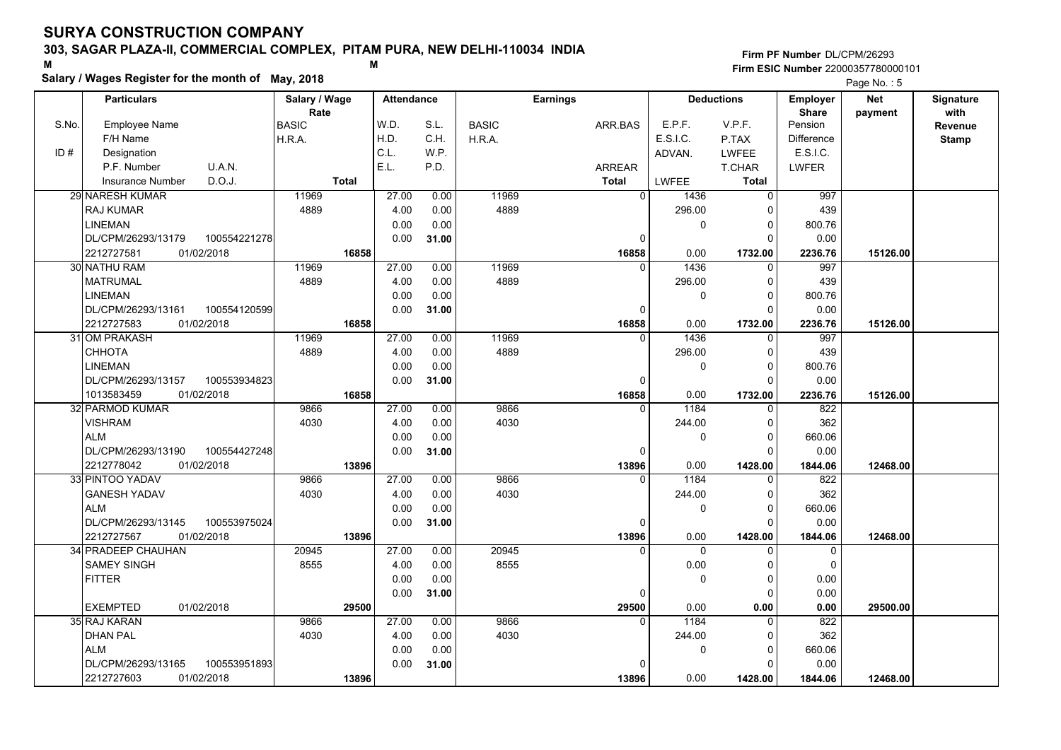## **303, SAGAR PLAZA-II, COMMERCIAL COMPLEX, PITAM PURA, NEW DELHI-110034 INDIA**

**Salary / Wages Register for the month of May, 2018 <sup>M</sup> <sup>M</sup>**

## **Firm PF Number**DL/CPM/26293**Firm ESIC Number** 22000357780000101

|       | <b>Particulars</b>                 | Salary / Wage        | <b>Attendance</b> |       |              | <b>Earnings</b> |          | <b>Deductions</b> | Employer          | <b>Net</b> | Signature              |
|-------|------------------------------------|----------------------|-------------------|-------|--------------|-----------------|----------|-------------------|-------------------|------------|------------------------|
| S.No. | Employee Name                      | Rate<br><b>BASIC</b> | W.D.              | S.L.  | <b>BASIC</b> | ARR.BAS         | E.P.F.   | V.P.F.            | Share<br>Pension  | payment    | with<br><b>Revenue</b> |
|       | F/H Name                           | H.R.A.               | H.D.              | C.H.  | H.R.A.       |                 | E.S.I.C. | P.TAX             | <b>Difference</b> |            | <b>Stamp</b>           |
| ID#   | Designation                        |                      | C.L.              | WP.   |              |                 | ADVAN.   | LWFEE             | E.S.I.C.          |            |                        |
|       | U.A.N.<br>P.F. Number              |                      | E.L.              | P.D.  |              | <b>ARREAR</b>   |          | T.CHAR            | LWFER             |            |                        |
|       | D.O.J.<br>Insurance Number         | <b>Total</b>         |                   |       |              | <b>Total</b>    | LWFEE    | <b>Total</b>      |                   |            |                        |
|       | 29 NARESH KUMAR                    | 11969                | 27.00             | 0.00  | 11969        | $\Omega$        | 1436     | $\Omega$          | 997               |            |                        |
|       | <b>RAJ KUMAR</b>                   | 4889                 | 4.00              | 0.00  | 4889         |                 | 296.00   | $\Omega$          | 439               |            |                        |
|       | <b>LINEMAN</b>                     |                      | 0.00              | 0.00  |              |                 | 0        | 0                 | 800.76            |            |                        |
|       | DL/CPM/26293/13179<br>100554221278 |                      | 0.00              | 31.00 |              | 0               |          | $\Omega$          | 0.00              |            |                        |
|       | 2212727581<br>01/02/2018           | 16858                |                   |       |              | 16858           | 0.00     | 1732.00           | 2236.76           | 15126.00   |                        |
|       | 30 NATHU RAM                       | 11969                | 27.00             | 0.00  | 11969        | $\Omega$        | 1436     | $\Omega$          | 997               |            |                        |
|       | <b>MATRUMAL</b>                    | 4889                 | 4.00              | 0.00  | 4889         |                 | 296.00   | $\mathbf 0$       | 439               |            |                        |
|       | <b>LINEMAN</b>                     |                      | 0.00              | 0.00  |              |                 | 0        | $\Omega$          | 800.76            |            |                        |
|       | DL/CPM/26293/13161<br>100554120599 |                      | 0.00              | 31.00 |              | 0               |          | $\Omega$          | 0.00              |            |                        |
|       | 2212727583<br>01/02/2018           | 16858                |                   |       |              | 16858           | 0.00     | 1732.00           | 2236.76           | 15126.00   |                        |
|       | 31 OM PRAKASH                      | 11969                | 27.00             | 0.00  | 11969        | $\Omega$        | 1436     | 0                 | 997               |            |                        |
|       | CHHOTA                             | 4889                 | 4.00              | 0.00  | 4889         |                 | 296.00   | $\mathbf 0$       | 439               |            |                        |
|       | <b>LINEMAN</b>                     |                      | 0.00              | 0.00  |              |                 | 0        | $\Omega$          | 800.76            |            |                        |
|       | DL/CPM/26293/13157<br>100553934823 |                      | 0.00              | 31.00 |              | $\Omega$        |          | $\Omega$          | 0.00              |            |                        |
|       | 01/02/2018<br>1013583459           | 16858                |                   |       |              | 16858           | 0.00     | 1732.00           | 2236.76           | 15126.00   |                        |
|       | 32 PARMOD KUMAR                    | 9866                 | 27.00             | 0.00  | 9866         | $\Omega$        | 1184     | $\Omega$          | 822               |            |                        |
|       | <b>VISHRAM</b>                     | 4030                 | 4.00              | 0.00  | 4030         |                 | 244.00   | $\mathbf 0$       | 362               |            |                        |
|       | <b>ALM</b>                         |                      | 0.00              | 0.00  |              |                 | 0        | $\Omega$          | 660.06            |            |                        |
|       | DL/CPM/26293/13190<br>100554427248 |                      | 0.00              | 31.00 |              | 0               |          | $\mathbf 0$       | 0.00              |            |                        |
|       | 2212778042<br>01/02/2018           | 13896                |                   |       |              | 13896           | 0.00     | 1428.00           | 1844.06           | 12468.00   |                        |
|       | 33 PINTOO YADAV                    | 9866                 | 27.00             | 0.00  | 9866         | $\Omega$        | 1184     | $\Omega$          | 822               |            |                        |
|       | <b>GANESH YADAV</b>                | 4030                 | 4.00              | 0.00  | 4030         |                 | 244.00   | $\Omega$          | 362               |            |                        |
|       | <b>ALM</b>                         |                      | 0.00              | 0.00  |              |                 | 0        | $\mathbf 0$       | 660.06            |            |                        |
|       | DL/CPM/26293/13145<br>100553975024 |                      | 0.00              | 31.00 |              | 0               |          | $\Omega$          | 0.00              |            |                        |
|       | 01/02/2018<br>2212727567           | 13896                |                   |       |              | 13896           | 0.00     | 1428.00           | 1844.06           | 12468.00   |                        |
|       | 34 PRADEEP CHAUHAN                 | 20945                | 27.00             | 0.00  | 20945        |                 | $\Omega$ | O                 | 0                 |            |                        |
|       | <b>SAMEY SINGH</b>                 | 8555                 | 4.00              | 0.00  | 8555         |                 | 0.00     | $\Omega$          | $\pmb{0}$         |            |                        |
|       | <b>FITTER</b>                      |                      | 0.00              | 0.00  |              |                 | 0        | $\mathbf 0$       | 0.00              |            |                        |
|       |                                    |                      | 0.00              | 31.00 |              | 0               |          | $\Omega$          | 0.00              |            |                        |
|       | <b>EXEMPTED</b><br>01/02/2018      | 29500                |                   |       |              | 29500           | 0.00     | 0.00              | 0.00              | 29500.00   |                        |
|       | 35 RAJ KARAN                       | 9866                 | 27.00             | 0.00  | 9866         | $\Omega$        | 1184     | $\mathbf 0$       | 822               |            |                        |
|       | <b>DHAN PAL</b>                    | 4030                 | 4.00              | 0.00  | 4030         |                 | 244.00   | 0                 | 362               |            |                        |
|       | <b>ALM</b>                         |                      | 0.00              | 0.00  |              |                 | 0        | $\overline{0}$    | 660.06            |            |                        |
|       | DL/CPM/26293/13165<br>100553951893 |                      | 0.00              | 31.00 |              | 0               |          | $\Omega$          | 0.00              |            |                        |
|       | 2212727603<br>01/02/2018           | 13896                |                   |       |              | 13896           | 0.00     | 1428.00           | 1844.06           | 12468.00   |                        |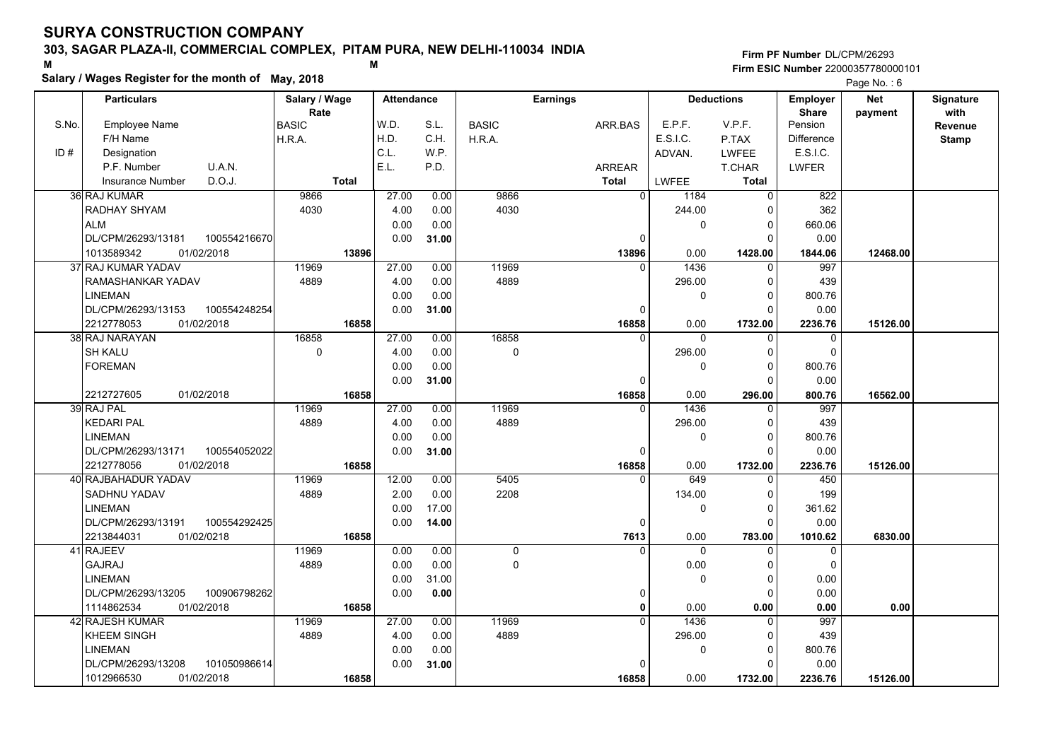## **303, SAGAR PLAZA-II, COMMERCIAL COMPLEX, PITAM PURA, NEW DELHI-110034 INDIA**

**Salary / Wages Register for the month of May, 2018 <sup>M</sup> <sup>M</sup>**

### **Firm PF Number**DL/CPM/26293**Firm ESIC Number** 22000357780000101

|       | <b>Particulars</b>                                   | Salary / Wage        | <b>Attendance</b> |       |              | <b>Earnings</b> |              | <b>Deductions</b>   | <b>Employer</b>         | Net      | Signature       |
|-------|------------------------------------------------------|----------------------|-------------------|-------|--------------|-----------------|--------------|---------------------|-------------------------|----------|-----------------|
| S.No. | <b>Employee Name</b>                                 | Rate<br><b>BASIC</b> | W.D.              | S.L.  | <b>BASIC</b> | ARR.BAS         | E.P.F.       | V.P.F.              | <b>Share</b><br>Pension | payment  | with<br>Revenue |
|       | F/H Name                                             | H.R.A.               | H.D.              | C.H.  | H.R.A.       |                 | E.S.I.C.     | P.TAX               | <b>Difference</b>       |          | <b>Stamp</b>    |
| ID#   | Designation                                          |                      | C.L.              | W.P.  |              |                 | ADVAN.       | <b>LWFEE</b>        | E.S.I.C.                |          |                 |
|       | U.A.N.<br>P.F. Number                                |                      | E.L.              | P.D.  |              | <b>ARREAR</b>   |              | T.CHAR              | <b>LWFER</b>            |          |                 |
|       | D.O.J.<br><b>Insurance Number</b>                    | <b>Total</b>         |                   |       |              | <b>Total</b>    | LWFEE        | <b>Total</b>        |                         |          |                 |
|       | 36 RAJ KUMAR                                         | 9866                 | 27.00             | 0.00  | 9866         | $\mathbf 0$     | 1184         | 0                   | 822                     |          |                 |
|       | RADHAY SHYAM                                         | 4030                 | 4.00              | 0.00  | 4030         |                 | 244.00       | 0                   | 362                     |          |                 |
|       | <b>ALM</b>                                           |                      | 0.00              | 0.00  |              |                 | 0            | $\Omega$            | 660.06                  |          |                 |
|       | DL/CPM/26293/13181<br>100554216670                   |                      | 0.00              | 31.00 |              | 0               |              | $\Omega$            | 0.00                    |          |                 |
|       | 1013589342<br>01/02/2018                             | 13896                |                   |       |              | 13896           | 0.00         | 1428.00             | 1844.06                 | 12468.00 |                 |
|       | 37 RAJ KUMAR YADAV                                   | 11969                | 27.00             | 0.00  | 11969        | $\Omega$        | 1436         | $\Omega$            | 997                     |          |                 |
|       | RAMASHANKAR YADAV                                    | 4889                 | 4.00              | 0.00  | 4889         |                 | 296.00       | 0                   | 439                     |          |                 |
|       |                                                      |                      |                   | 0.00  |              |                 |              | 0                   | 800.76                  |          |                 |
|       | <b>LINEMAN</b><br>DL/CPM/26293/13153<br>100554248254 |                      | 0.00<br>0.00      | 31.00 |              | $\Omega$        | 0            | $\Omega$            | 0.00                    |          |                 |
|       | 2212778053<br>01/02/2018                             | 16858                |                   |       |              | 16858           | 0.00         |                     | 2236.76                 | 15126.00 |                 |
|       | 38 RAJ NARAYAN                                       | 16858                | 27.00             | 0.00  | 16858        | $\Omega$        | $\mathbf{0}$ | 1732.00<br>$\Omega$ | $\mathbf 0$             |          |                 |
|       | <b>SH KALU</b>                                       | $\mathbf 0$          | 4.00              | 0.00  | $\mathbf 0$  |                 |              | $\Omega$            | $\Omega$                |          |                 |
|       | <b>FOREMAN</b>                                       |                      | 0.00              | 0.00  |              |                 | 296.00<br>0  | $\Omega$            | 800.76                  |          |                 |
|       |                                                      |                      | 0.00              |       |              | $\Omega$        |              | $\Omega$            |                         |          |                 |
|       | 2212727605<br>01/02/2018                             | 16858                |                   | 31.00 |              | 16858           | 0.00         | 296.00              | 0.00<br>800.76          | 16562.00 |                 |
|       | 39 RAJ PAL                                           | 11969                | 27.00             | 0.00  | 11969        | $\Omega$        | 1436         | $\Omega$            | 997                     |          |                 |
|       | <b>KEDARI PAL</b>                                    | 4889                 | 4.00              | 0.00  | 4889         |                 | 296.00       | $\Omega$            | 439                     |          |                 |
|       | <b>LINEMAN</b>                                       |                      | 0.00              | 0.00  |              |                 | 0            | $\Omega$            | 800.76                  |          |                 |
|       | DL/CPM/26293/13171<br>100554052022                   |                      | 0.00              |       |              | 0               |              | $\Omega$            | 0.00                    |          |                 |
|       | 2212778056<br>01/02/2018                             | 16858                |                   | 31.00 |              | 16858           | 0.00         | 1732.00             |                         | 15126.00 |                 |
|       | 40 RAJBAHADUR YADAV                                  | 11969                | 12.00             | 0.00  | 5405         | $\Omega$        | 649          | $\Omega$            | 2236.76<br>450          |          |                 |
|       | <b>SADHNU YADAV</b>                                  | 4889                 | 2.00              | 0.00  | 2208         |                 | 134.00       | $\Omega$            | 199                     |          |                 |
|       | <b>LINEMAN</b>                                       |                      | 0.00              | 17.00 |              |                 | 0            | 0                   | 361.62                  |          |                 |
|       | DL/CPM/26293/13191<br>100554292425                   |                      | 0.00              | 14.00 |              | 0               |              | $\Omega$            | 0.00                    |          |                 |
|       | 2213844031<br>01/02/0218                             | 16858                |                   |       |              | 7613            | 0.00         | 783.00              | 1010.62                 | 6830.00  |                 |
|       | 41 RAJEEV                                            | 11969                | 0.00              | 0.00  | $\mathbf 0$  | $\Omega$        | $\Omega$     | $\Omega$            | $\mathbf 0$             |          |                 |
|       | <b>GAJRAJ</b>                                        | 4889                 | 0.00              | 0.00  | $\Omega$     |                 | 0.00         | $\Omega$            | $\mathbf 0$             |          |                 |
|       | <b>LINEMAN</b>                                       |                      | 0.00              | 31.00 |              |                 | 0            | 0                   | 0.00                    |          |                 |
|       | DL/CPM/26293/13205<br>100906798262                   |                      | 0.00              |       |              | 0               |              | $\Omega$            | 0.00                    |          |                 |
|       | 1114862534<br>01/02/2018                             | 16858                |                   | 0.00  |              | $\mathbf{0}$    | 0.00         | 0.00                | 0.00                    | 0.00     |                 |
|       | 42 RAJESH KUMAR                                      | 11969                | 27.00             | 0.00  | 11969        | $\Omega$        | 1436         | $\Omega$            | 997                     |          |                 |
|       | <b>KHEEM SINGH</b>                                   | 4889                 | 4.00              | 0.00  | 4889         |                 | 296.00       | $\Omega$            | 439                     |          |                 |
|       |                                                      |                      |                   |       |              |                 |              |                     |                         |          |                 |
|       | <b>LINEMAN</b><br>DL/CPM/26293/13208<br>101050986614 |                      | 0.00              | 0.00  |              | $\Omega$        | 0            | 0<br>$\Omega$       | 800.76                  |          |                 |
|       | 1012966530<br>01/02/2018                             |                      | 0.00              | 31.00 |              |                 | 0.00         |                     | 0.00                    |          |                 |
|       |                                                      | 16858                |                   |       |              | 16858           |              | 1732.00             | 2236.76                 | 15126.00 |                 |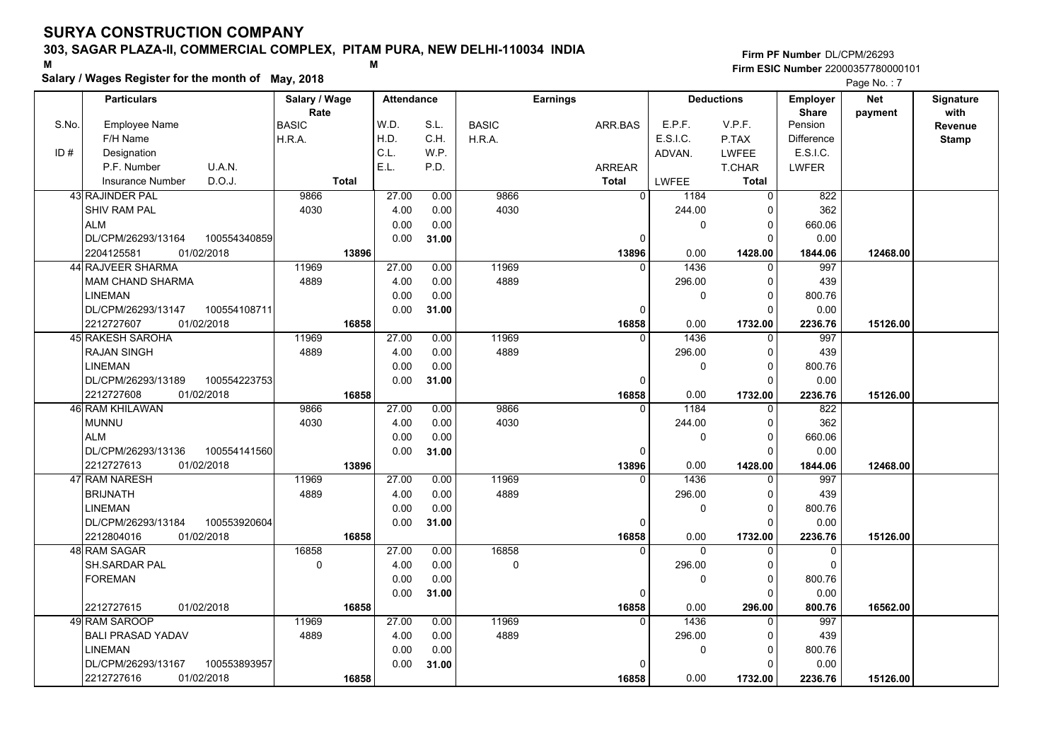## **303, SAGAR PLAZA-II, COMMERCIAL COMPLEX, PITAM PURA, NEW DELHI-110034 INDIA**

**Salary / Wages Register for the month of May, 2018 <sup>M</sup> <sup>M</sup>**

## **Firm PF Number**DL/CPM/26293**Firm ESIC Number** 22000357780000101

|       | <b>Particulars</b>                 | Salary / Wage |              | <b>Attendance</b> |       |              | <b>Earnings</b> |                        | <b>Deductions</b>      | Employer                | Net      | Signature |
|-------|------------------------------------|---------------|--------------|-------------------|-------|--------------|-----------------|------------------------|------------------------|-------------------------|----------|-----------|
| S.No. | Employee Name                      | Rate          |              | W.D.              | S.L.  | <b>BASIC</b> |                 | E.P.F.                 | V.P.F.                 | <b>Share</b><br>Pension | payment  | with      |
|       | F/H Name                           | <b>BASIC</b>  |              | H.D.              | C.H.  |              | ARR.BAS         | E.S.I.C.               | P.TAX                  | Difference              |          | Revenue   |
| ID#   | Designation                        | H.R.A.        |              | C.L.              | WP.   | H.R.A.       |                 |                        |                        | E.S.I.C.                |          | Stamp     |
|       | P.F. Number<br>U.A.N.              |               |              | E.L.              | P.D.  |              |                 | ADVAN.                 | <b>LWFEE</b><br>T.CHAR |                         |          |           |
|       | D.O.J.                             |               | <b>Total</b> |                   |       |              | <b>ARREAR</b>   |                        |                        | LWFER                   |          |           |
|       | <b>Insurance Number</b>            |               |              |                   |       |              | <b>Total</b>    | LWFEE                  | <b>Total</b>           |                         |          |           |
|       | 43 RAJINDER PAL                    | 9866          |              | 27.00             | 0.00  | 9866         |                 | $\overline{0}$<br>1184 | $\Omega$               | 822                     |          |           |
|       | <b>SHIV RAM PAL</b>                | 4030          |              | 4.00              | 0.00  | 4030         |                 | 244.00                 | 0                      | 362                     |          |           |
|       | <b>ALM</b>                         |               |              | 0.00              | 0.00  |              |                 | 0                      | $\Omega$               | 660.06                  |          |           |
|       | DL/CPM/26293/13164<br>100554340859 |               |              | 0.00              | 31.00 |              |                 | 0                      | 0                      | 0.00                    |          |           |
|       | 01/02/2018<br>2204125581           |               | 13896        |                   |       |              | 13896           | 0.00                   | 1428.00                | 1844.06                 | 12468.00 |           |
|       | <b>44 RAJVEER SHARMA</b>           | 11969         |              | 27.00             | 0.00  | 11969        |                 | 1436<br>$\Omega$       | 0                      | 997                     |          |           |
|       | MAM CHAND SHARMA                   | 4889          |              | 4.00              | 0.00  | 4889         |                 | 296.00                 | $\Omega$               | 439                     |          |           |
|       | <b>LINEMAN</b>                     |               |              | 0.00              | 0.00  |              |                 | $\mathbf 0$            | $\Omega$               | 800.76                  |          |           |
|       | DL/CPM/26293/13147<br>100554108711 |               |              | 0.00              | 31.00 |              |                 | $\Omega$               | $\Omega$               | 0.00                    |          |           |
|       | 2212727607<br>01/02/2018           |               | 16858        |                   |       |              | 16858           | 0.00                   | 1732.00                | 2236.76                 | 15126.00 |           |
|       | 45 RAKESH SAROHA                   | 11969         |              | 27.00             | 0.00  | 11969        |                 | 1436<br>$\Omega$       | $\Omega$               | 997                     |          |           |
|       | <b>RAJAN SINGH</b>                 | 4889          |              | 4.00              | 0.00  | 4889         |                 | 296.00                 | $\Omega$               | 439                     |          |           |
|       | <b>LINEMAN</b>                     |               |              | 0.00              | 0.00  |              |                 | 0                      | $\Omega$               | 800.76                  |          |           |
|       | DL/CPM/26293/13189<br>100554223753 |               |              | 0.00              | 31.00 |              |                 | $\Omega$               | $\Omega$               | 0.00                    |          |           |
|       | 2212727608<br>01/02/2018           |               | 16858        |                   |       |              | 16858           | 0.00                   | 1732.00                | 2236.76                 | 15126.00 |           |
|       | 46 RAM KHILAWAN                    | 9866          |              | 27.00             | 0.00  | 9866         |                 | 1184<br>$\Omega$       | $\Omega$               | $\overline{822}$        |          |           |
|       | <b>MUNNU</b>                       | 4030          |              | 4.00              | 0.00  | 4030         |                 | 244.00                 | $\Omega$               | 362                     |          |           |
|       | <b>ALM</b>                         |               |              | 0.00              | 0.00  |              |                 | $\mathbf{0}$           | $\Omega$               | 660.06                  |          |           |
|       | DL/CPM/26293/13136<br>100554141560 |               |              | 0.00              | 31.00 |              |                 | 0                      | $\Omega$               | 0.00                    |          |           |
|       | 2212727613<br>01/02/2018           |               | 13896        |                   |       |              | 13896           | 0.00                   | 1428.00                | 1844.06                 | 12468.00 |           |
|       | 47 RAM NARESH                      | 11969         |              | 27.00             | 0.00  | 11969        |                 | 1436<br>$\Omega$       |                        | 997                     |          |           |
|       | <b>BRIJNATH</b>                    | 4889          |              | 4.00              | 0.00  | 4889         |                 | 296.00                 | $\Omega$               | 439                     |          |           |
|       | <b>LINEMAN</b>                     |               |              | 0.00              | 0.00  |              |                 | $\mathbf{0}$           | 0                      | 800.76                  |          |           |
|       | DL/CPM/26293/13184<br>100553920604 |               |              | 0.00              | 31.00 |              |                 | 0                      | $\Omega$               | 0.00                    |          |           |
|       | 2212804016<br>01/02/2018           |               | 16858        |                   |       |              | 16858           | 0.00                   | 1732.00                | 2236.76                 | 15126.00 |           |
|       | 48 RAM SAGAR                       | 16858         |              | 27.00             | 0.00  | 16858        |                 | $\Omega$<br>$\Omega$   | $\Omega$               | 0                       |          |           |
|       | SH.SARDAR PAL                      | $\pmb{0}$     |              | 4.00              | 0.00  | $\mathbf 0$  |                 | 296.00                 | O                      | $\mathbf 0$             |          |           |
|       | <b>FOREMAN</b>                     |               |              | 0.00              | 0.00  |              |                 | $\mathbf 0$            | $\Omega$               | 800.76                  |          |           |
|       |                                    |               |              | 0.00              | 31.00 |              |                 | $\mathbf 0$            | O                      | 0.00                    |          |           |
|       | 01/02/2018<br>2212727615           |               | 16858        |                   |       |              | 16858           | 0.00                   | 296.00                 | 800.76                  | 16562.00 |           |
|       | 49 RAM SAROOP                      | 11969         |              | 27.00             | 0.00  | 11969        |                 | 1436<br>$\Omega$       | 0                      | 997                     |          |           |
|       | <b>BALI PRASAD YADAV</b>           | 4889          |              | 4.00              | 0.00  | 4889         |                 | 296.00                 | $\Omega$               | 439                     |          |           |
|       | <b>LINEMAN</b>                     |               |              | 0.00              | 0.00  |              |                 | 0                      | $\Omega$               | 800.76                  |          |           |
|       | DL/CPM/26293/13167<br>100553893957 |               |              | 0.00              | 31.00 |              |                 | 0                      | $\Omega$               | 0.00                    |          |           |
|       | 01/02/2018<br>2212727616           |               | 16858        |                   |       |              | 16858           | 0.00                   | 1732.00                | 2236.76                 | 15126.00 |           |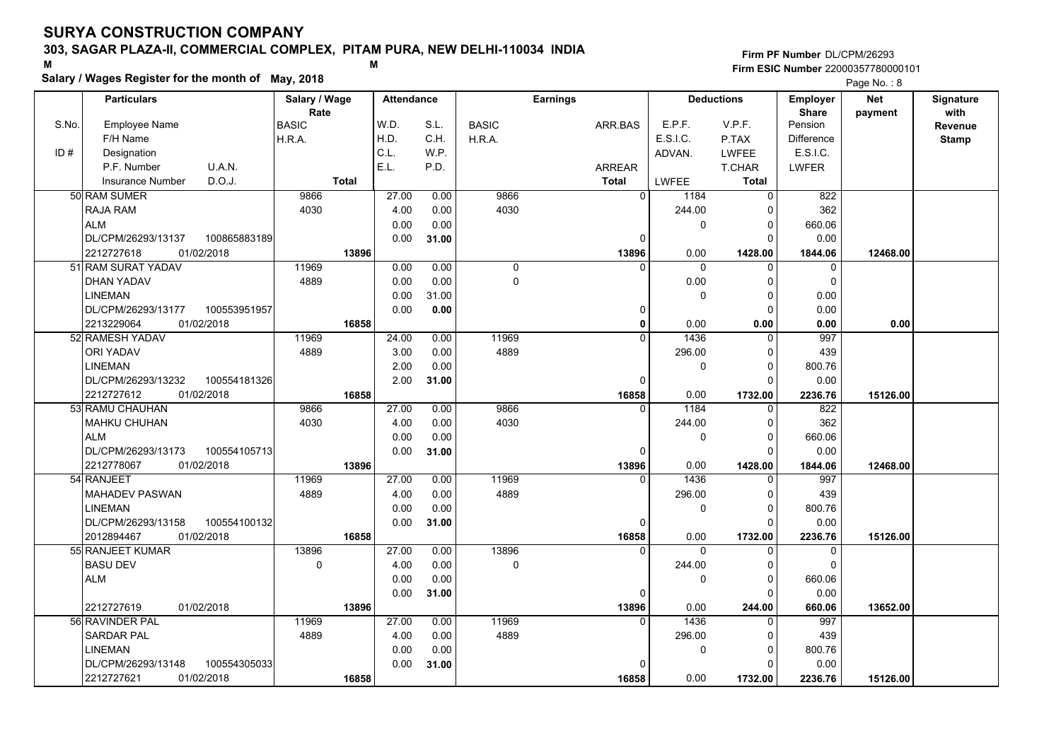## **303, SAGAR PLAZA-II, COMMERCIAL COMPLEX, PITAM PURA, NEW DELHI-110034 INDIA**

**Salary / Wages Register for the month of May, 2018 <sup>M</sup> <sup>M</sup>**

### **Firm PF Number**DL/CPM/26293**Firm ESIC Number** 22000357780000101

|       | <b>Particulars</b>                          | Salary / Wage        | <b>Attendance</b> |              |              | <b>Earnings</b>          |                  | <b>Deductions</b>       | Employer                    | <b>Net</b> | Signature       |
|-------|---------------------------------------------|----------------------|-------------------|--------------|--------------|--------------------------|------------------|-------------------------|-----------------------------|------------|-----------------|
| S.No. | <b>Employee Name</b>                        | Rate<br><b>BASIC</b> | W.D.              | S.L.         | <b>BASIC</b> | ARR.BAS                  | E.P.F.           | V.P.F.                  | <b>Share</b><br>Pension     | payment    | with<br>Revenue |
|       | F/H Name                                    | H.R.A.               | H.D.              | C.H.         | H.R.A.       |                          | E.S.I.C.         | P.TAX                   | <b>Difference</b>           |            |                 |
| ID#   | Designation                                 |                      | C.L.              | W.P.         |              |                          | ADVAN.           | <b>LWFEE</b>            | E.S.I.C.                    |            | <b>Stamp</b>    |
|       | U.A.N.<br>P.F. Number                       |                      | E.L.              | P.D.         |              | <b>ARREAR</b>            |                  | T.CHAR                  | <b>LWFER</b>                |            |                 |
|       | D.O.J.<br><b>Insurance Number</b>           | <b>Total</b>         |                   |              |              | <b>Total</b>             | LWFEE            | <b>Total</b>            |                             |            |                 |
|       | 50 RAM SUMER                                | 9866                 | 27.00             | 0.00         | 9866         | 0                        | 1184             | $\Omega$                | 822                         |            |                 |
|       |                                             | 4030                 |                   |              | 4030         |                          | 244.00           | 0                       | 362                         |            |                 |
|       | RAJA RAM<br><b>ALM</b>                      |                      | 4.00<br>0.00      | 0.00<br>0.00 |              |                          |                  |                         |                             |            |                 |
|       | DL/CPM/26293/13137<br>100865883189          |                      |                   |              |              | $\Omega$                 | 0                | $\mathbf 0$<br>$\Omega$ | 660.06<br>0.00              |            |                 |
|       | 2212727618<br>01/02/2018                    | 13896                | 0.00              | 31.00        |              |                          |                  |                         |                             |            |                 |
|       | 51 RAM SURAT YADAV                          |                      |                   |              |              | 13896<br>$\Omega$        | 0.00<br>0        | 1428.00                 | 1844.06<br>$\mathbf 0$      | 12468.00   |                 |
|       |                                             | 11969                | 0.00              | 0.00         | 0            |                          |                  | $\mathbf 0$             |                             |            |                 |
|       | DHAN YADAV                                  | 4889                 | 0.00              | 0.00         | 0            |                          | 0.00             | 0                       | $\mathbf 0$                 |            |                 |
|       | <b>LINEMAN</b>                              |                      | 0.00              | 31.00        |              |                          | 0                | $\mathbf 0$             | 0.00                        |            |                 |
|       | DL/CPM/26293/13177<br>100553951957          |                      | 0.00              | 0.00         |              | 0                        |                  | $\Omega$                | 0.00                        |            |                 |
|       | 2213229064<br>01/02/2018<br>52 RAMESH YADAV | 16858<br>11969       |                   |              | 11969        | $\mathbf{0}$<br>$\Omega$ | 0.00<br>1436     | 0.00                    | 0.00<br>997                 | 0.00       |                 |
|       |                                             |                      | 24.00             | 0.00         |              |                          |                  | $\mathbf 0$             |                             |            |                 |
|       | <b>ORI YADAV</b>                            | 4889                 | 3.00              | 0.00         | 4889         |                          | 296.00           | $\Omega$                | 439                         |            |                 |
|       | <b>LINEMAN</b>                              |                      | 2.00              | 0.00         |              |                          | 0                | $\mathbf 0$<br>$\Omega$ | 800.76                      |            |                 |
|       | DL/CPM/26293/13232<br>100554181326          | 16858                | 2.00              | 31.00        |              | $\Omega$                 |                  |                         | 0.00                        |            |                 |
|       | 2212727612<br>01/02/2018<br>53 RAMU CHAUHAN | 9866                 | 27.00             | 0.00         | 9866         | 16858                    | 0.00<br>1184     | 1732.00<br>0            | 2236.76<br>$\overline{822}$ | 15126.00   |                 |
|       | <b>MAHKU CHUHAN</b>                         | 4030                 | 4.00              | 0.00         | 4030         |                          | 244.00           | $\mathbf 0$             | 362                         |            |                 |
|       | <b>ALM</b>                                  |                      | 0.00              | 0.00         |              |                          | 0                | $\Omega$                | 660.06                      |            |                 |
|       |                                             |                      |                   |              |              | <sup>0</sup>             |                  | $\Omega$                |                             |            |                 |
|       | DL/CPM/26293/13173<br>100554105713          |                      | 0.00              | 31.00        |              |                          |                  |                         | 0.00                        |            |                 |
|       | 2212778067<br>01/02/2018<br>54 RANJEET      | 13896<br>11969       | 27.00             | 0.00         | 11969        | 13896<br>$\Omega$        | 0.00<br>1436     | 1428.00<br>$\Omega$     | 1844.06<br>997              | 12468.00   |                 |
|       |                                             |                      |                   |              |              |                          |                  | $\Omega$                |                             |            |                 |
|       | <b>MAHADEV PASWAN</b>                       | 4889                 | 4.00              | 0.00         | 4889         |                          | 296.00           |                         | 439                         |            |                 |
|       | <b>LINEMAN</b>                              |                      | 0.00              | 0.00         |              |                          | 0                | $\mathbf 0$<br>$\Omega$ | 800.76                      |            |                 |
|       | DL/CPM/26293/13158<br>100554100132          |                      | 0.00              | 31.00        |              | 0                        |                  |                         | 0.00                        |            |                 |
|       | 01/02/2018<br>2012894467                    | 16858<br>13896       | 27.00             |              | 13896        | 16858<br>$\Omega$        | 0.00<br>$\Omega$ | 1732.00                 | 2236.76                     | 15126.00   |                 |
|       | 55 RANJEET KUMAR<br><b>BASU DEV</b>         | 0                    | 4.00              | 0.00         | 0            |                          |                  | $\Omega$<br>$\Omega$    | $\mathbf 0$<br>$\Omega$     |            |                 |
|       | <b>ALM</b>                                  |                      |                   | 0.00         |              |                          | 244.00           |                         |                             |            |                 |
|       |                                             |                      | 0.00              | 0.00         |              |                          | 0                | 0                       | 660.06                      |            |                 |
|       |                                             |                      | 0.00              | 31.00        |              | 0                        |                  | $\Omega$                | 0.00                        |            |                 |
|       | 2212727619<br>01/02/2018                    | 13896<br>11969       |                   |              | 11969        | 13896<br>$\Omega$        | 0.00<br>1436     | 244.00<br>$\Omega$      | 660.06                      | 13652.00   |                 |
|       | 56 RAVINDER PAL                             |                      | 27.00             | 0.00         |              |                          |                  |                         | 997                         |            |                 |
|       | <b>SARDAR PAL</b>                           | 4889                 | 4.00              | 0.00         | 4889         |                          | 296.00           | 0                       | 439                         |            |                 |
|       | <b>LINEMAN</b>                              |                      | 0.00              | 0.00         |              |                          | 0                | $\mathbf 0$             | 800.76                      |            |                 |
|       | DL/CPM/26293/13148<br>100554305033          |                      | 0.00              | 31.00        |              | $\Omega$                 |                  | $\Omega$                | 0.00                        |            |                 |
|       | 2212727621<br>01/02/2018                    | 16858                |                   |              |              | 16858                    | 0.00             | 1732.00                 | 2236.76                     | 15126.00   |                 |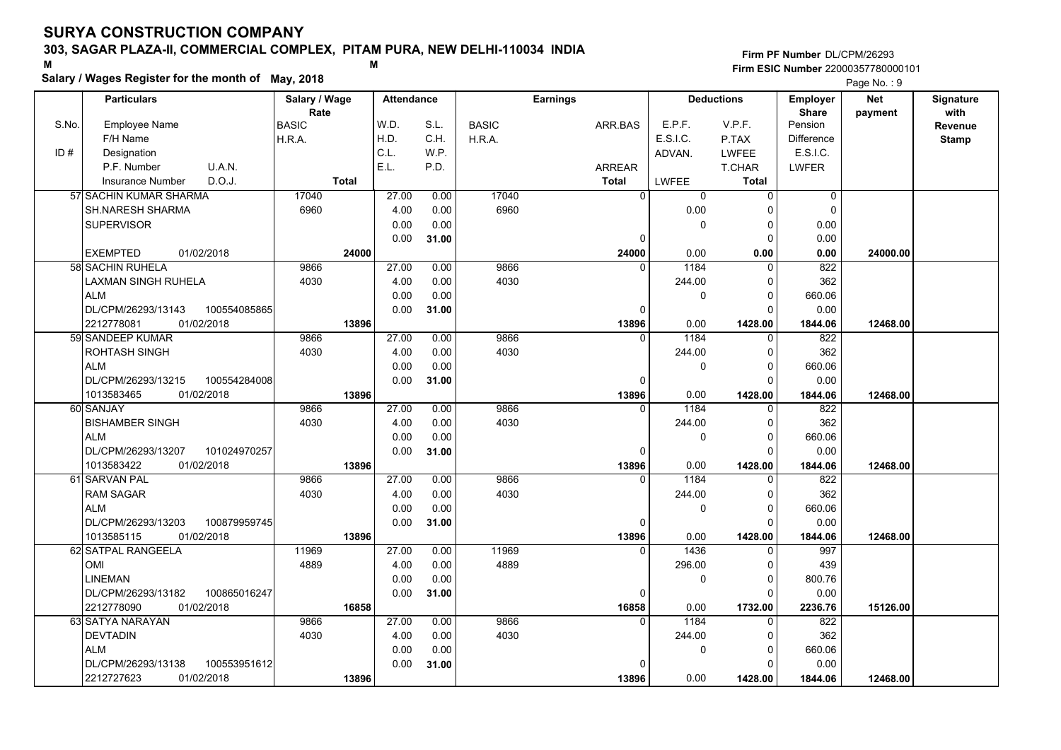## **303, SAGAR PLAZA-II, COMMERCIAL COMPLEX, PITAM PURA, NEW DELHI-110034 INDIA**

# **Salary / Wages Register for the month of May, 2018 <sup>M</sup> <sup>M</sup>**

**Firm PF Number**DL/CPM/26293**Firm ESIC Number** 22000357780000101

|       | Salary / Wages Register for the month of May, 2018 |               |                   |       |              |                 |              |                   |                   | Page No.: 9 |                  |
|-------|----------------------------------------------------|---------------|-------------------|-------|--------------|-----------------|--------------|-------------------|-------------------|-------------|------------------|
|       | <b>Particulars</b>                                 | Salary / Wage | <b>Attendance</b> |       |              | <b>Earnings</b> |              | <b>Deductions</b> | <b>Employer</b>   | <b>Net</b>  | <b>Signature</b> |
|       |                                                    | Rate          |                   |       |              |                 |              |                   | <b>Share</b>      | payment     | with             |
| S.No. | Employee Name                                      | <b>BASIC</b>  | W.D.              | S.L.  | <b>BASIC</b> | ARR.BAS         | E.P.F.       | V.P.F.            | Pension           |             | <b>Revenue</b>   |
|       | F/H Name                                           | H.R.A.        | H.D.              | C.H.  | H.R.A.       |                 | E.S.I.C.     | P.TAX             | <b>Difference</b> |             | <b>Stamp</b>     |
| ID#   | Designation                                        |               | C.L.              | W.P.  |              |                 | ADVAN.       | <b>LWFEE</b>      | E.S.I.C.          |             |                  |
|       | U.A.N.<br>P.F. Number                              |               | E.L.              | P.D.  |              | <b>ARREAR</b>   |              | T.CHAR            | LWFER             |             |                  |
|       | D.O.J.<br><b>Insurance Number</b>                  | <b>Total</b>  |                   |       |              | <b>Total</b>    | <b>LWFEE</b> | <b>Total</b>      |                   |             |                  |
|       | 57 SACHIN KUMAR SHARMA                             | 17040         | 27.00             | 0.00  | 17040        | $\mathbf 0$     | 0            | $\Omega$          | 0                 |             |                  |
|       | <b>SH.NARESH SHARMA</b>                            | 6960          | 4.00              | 0.00  | 6960         |                 | 0.00         |                   | $\Omega$          |             |                  |
|       | <b>SUPERVISOR</b>                                  |               | 0.00              | 0.00  |              |                 | $\Omega$     | $\Omega$          | 0.00              |             |                  |
|       |                                                    |               | 0.00              | 31.00 |              | $\mathbf 0$     |              | $\Omega$          | 0.00              |             |                  |
|       | <b>EXEMPTED</b><br>01/02/2018                      | 24000         |                   |       |              | 24000           | 0.00         | 0.00              | 0.00              | 24000.00    |                  |
|       | 58 SACHIN RUHELA                                   | 9866          | 27.00             | 0.00  | 9866         | $\Omega$        | 1184         |                   | 822               |             |                  |
|       | LAXMAN SINGH RUHELA                                | 4030          | 4.00              | 0.00  | 4030         |                 | 244.00       | $\Omega$          | 362               |             |                  |
|       | <b>ALM</b>                                         |               | 0.00              | 0.00  |              |                 | $\Omega$     | $\Omega$          | 660.06            |             |                  |
|       | DL/CPM/26293/13143<br>100554085865                 |               | 0.00              | 31.00 |              | $\mathbf 0$     |              | $\Omega$          | 0.00              |             |                  |
|       | 01/02/2018<br>2212778081                           | 13896         |                   |       |              | 13896           | 0.00         | 1428.00           | 1844.06           | 12468.00    |                  |
|       | 59 SANDEEP KUMAR                                   | 9866          | 27.00             | 0.00  | 9866         | $\mathbf{0}$    | 1184         | $\Omega$          | 822               |             |                  |
|       | <b>ROHTASH SINGH</b>                               | 4030          | 4.00              | 0.00  | 4030         |                 | 244.00       | $\Omega$          | 362               |             |                  |
|       | <b>ALM</b>                                         |               | 0.00              | 0.00  |              |                 | 0            | $\Omega$          | 660.06            |             |                  |
|       | DL/CPM/26293/13215<br>100554284008                 |               | 0.00              | 31.00 |              | 0               |              | $\Omega$          | 0.00              |             |                  |
|       | 01/02/2018<br>1013583465                           | 13896         |                   |       |              | 13896           | 0.00         | 1428.00           | 1844.06           | 12468.00    |                  |
|       | 60 SANJAY                                          | 9866          | 27.00             | 0.00  | 9866         | $\mathbf{0}$    | 1184         | $\Omega$          | 822               |             |                  |
|       | <b>BISHAMBER SINGH</b>                             | 4030          | 4.00              | 0.00  | 4030         |                 | 244.00       | $\Omega$          | 362               |             |                  |
|       | <b>ALM</b>                                         |               | 0.00              | 0.00  |              |                 | $\Omega$     | 0                 | 660.06            |             |                  |
|       | DL/CPM/26293/13207<br>101024970257                 |               | 0.00              | 31.00 |              | $\mathbf 0$     |              | $\Omega$          | 0.00              |             |                  |
|       | 1013583422<br>01/02/2018                           | 13896         |                   |       |              | 13896           | 0.00         | 1428.00           | 1844.06           | 12468.00    |                  |
|       | 61 SARVAN PAL                                      | 9866          | 27.00             | 0.00  | 9866         | $\Omega$        | 1184         |                   | 822               |             |                  |
|       | <b>RAM SAGAR</b>                                   | 4030          | 4.00              | 0.00  | 4030         |                 | 244.00       | $\Omega$          | 362               |             |                  |
|       | <b>ALM</b>                                         |               | 0.00              | 0.00  |              |                 | $\Omega$     | $\Omega$          | 660.06            |             |                  |
|       | DL/CPM/26293/13203<br>100879959745                 |               | 0.00              | 31.00 |              | 0               |              | $\Omega$          | 0.00              |             |                  |
|       | 1013585115<br>01/02/2018                           | 13896         |                   |       |              | 13896           | 0.00         | 1428.00           | 1844.06           | 12468.00    |                  |
|       | 62 SATPAL RANGEELA                                 | 11969         | 27.00             | 0.00  | 11969        | $\mathbf{0}$    | 1436         | $\Omega$          | 997               |             |                  |
|       | OMI                                                | 4889          | 4.00              | 0.00  | 4889         |                 | 296.00       | $\Omega$          | 439               |             |                  |
|       | <b>LINEMAN</b>                                     |               | 0.00              | 0.00  |              |                 | 0            | $\Omega$          | 800.76            |             |                  |
|       | DL/CPM/26293/13182<br>100865016247                 |               | 0.00              | 31.00 |              | $\mathbf 0$     |              | $\Omega$          | 0.00              |             |                  |
|       | 2212778090<br>01/02/2018                           | 16858         |                   |       |              | 16858           | 0.00         | 1732.00           | 2236.76           | 15126.00    |                  |
|       | 63 SATYA NARAYAN                                   | 9866          | 27.00             | 0.00  | 9866         | $\Omega$        | 1184         |                   | 822               |             |                  |
|       | <b>DEVTADIN</b>                                    | 4030          | 4.00              | 0.00  | 4030         |                 | 244.00       |                   | 362               |             |                  |
|       | <b>ALM</b>                                         |               | 0.00              | 0.00  |              |                 | $\Omega$     | 0                 | 660.06            |             |                  |
|       | DL/CPM/26293/13138<br>100553951612                 |               | 0.00              | 31.00 |              | $\mathbf 0$     |              |                   | 0.00              |             |                  |
|       | 2212727623<br>01/02/2018                           | 13896         |                   |       |              | 13896           | 0.00         | 1428.00           | 1844.06           | 12468.00    |                  |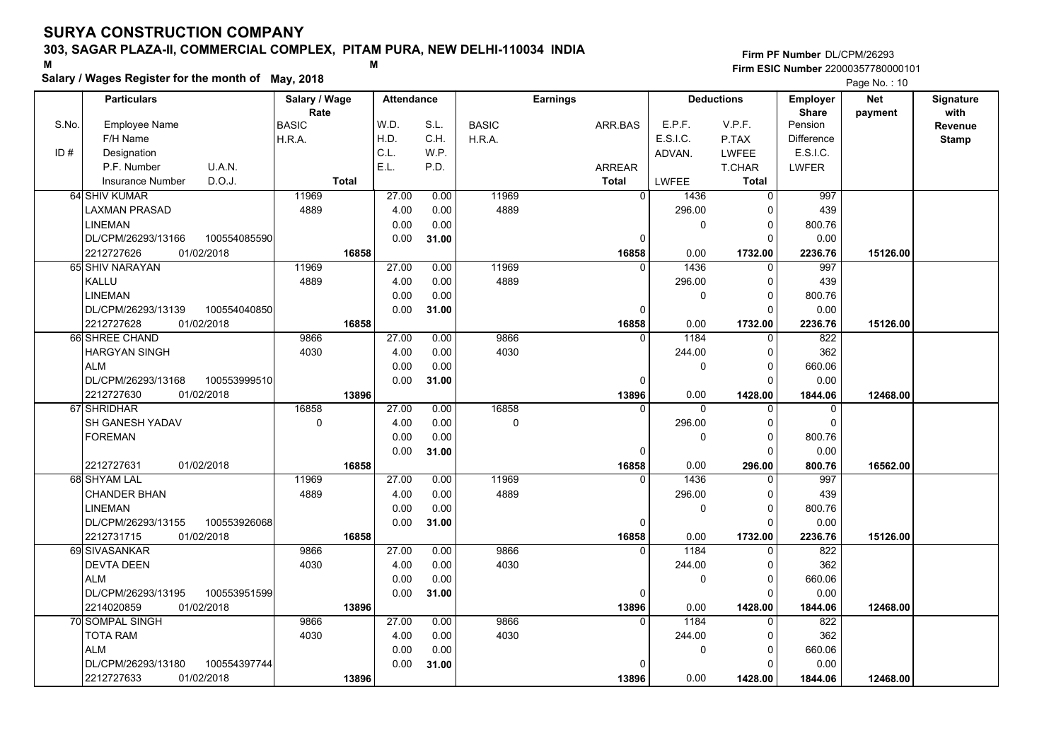## **303, SAGAR PLAZA-II, COMMERCIAL COMPLEX, PITAM PURA, NEW DELHI-110034 INDIA**

**Salary / Wages Register for the month of May, 2018 <sup>M</sup> <sup>M</sup>**

## **Firm PF Number**DL/CPM/26293**Firm ESIC Number** 22000357780000101

|       | <b>Particulars</b>                 |        | Salary / Wage |              | <b>Attendance</b> |       |              | <b>Earnings</b> |                |              | <b>Deductions</b> | <b>Employer</b>         | <b>Net</b> | Signature    |
|-------|------------------------------------|--------|---------------|--------------|-------------------|-------|--------------|-----------------|----------------|--------------|-------------------|-------------------------|------------|--------------|
| S.No. | <b>Employee Name</b>               | BASIC  | Rate          |              | W.D.              | S.L.  | <b>BASIC</b> |                 | ARR.BAS        | E.P.F.       | V.P.F.            | <b>Share</b><br>Pension | payment    | with         |
|       | F/H Name                           | H.R.A. |               |              | H.D.              | C.H.  | H.R.A.       |                 |                | E.S.I.C.     | P.TAX             | <b>Difference</b>       |            | Revenue      |
| ID#   | Designation                        |        |               |              | C.L.              | W.P.  |              |                 |                | ADVAN.       | <b>LWFEE</b>      | E.S.I.C.                |            | <b>Stamp</b> |
|       | U.A.N.<br>P.F. Number              |        |               |              | E.L.              | P.D.  |              |                 | <b>ARREAR</b>  |              | T.CHAR            | <b>LWFER</b>            |            |              |
|       | D.O.J.<br><b>Insurance Number</b>  |        |               | <b>Total</b> |                   |       |              |                 | <b>Total</b>   | LWFEE        | <b>Total</b>      |                         |            |              |
|       | 64 SHIV KUMAR                      |        | 11969         |              | 27.00             | 0.00  | 11969        |                 | $\overline{0}$ | 1436         | $\mathbf 0$       | 997                     |            |              |
|       | <b>LAXMAN PRASAD</b>               |        | 4889          |              | 4.00              | 0.00  | 4889         |                 |                | 296.00       | $\Omega$          | 439                     |            |              |
|       | <b>LINEMAN</b>                     |        |               |              | 0.00              | 0.00  |              |                 |                | 0            | 0                 | 800.76                  |            |              |
|       | DL/CPM/26293/13166<br>100554085590 |        |               |              | 0.00              | 31.00 |              |                 | 0              |              | $\Omega$          | 0.00                    |            |              |
|       | 01/02/2018<br>2212727626           |        |               | 16858        |                   |       |              |                 | 16858          | 0.00         | 1732.00           | 2236.76                 | 15126.00   |              |
|       | 65 SHIV NARAYAN                    |        | 11969         |              | 27.00             | 0.00  | 11969        |                 | $\Omega$       | 1436         | $\Omega$          | 997                     |            |              |
|       | KALLU                              |        | 4889          |              | 4.00              | 0.00  | 4889         |                 |                | 296.00       | $\Omega$          | 439                     |            |              |
|       | <b>LINEMAN</b>                     |        |               |              | 0.00              | 0.00  |              |                 |                | $\mathbf 0$  | 0                 | 800.76                  |            |              |
|       | DL/CPM/26293/13139<br>100554040850 |        |               |              | 0.00              | 31.00 |              |                 | 0              |              | $\Omega$          | 0.00                    |            |              |
|       | 2212727628<br>01/02/2018           |        |               | 16858        |                   |       |              |                 | 16858          | 0.00         | 1732.00           | 2236.76                 | 15126.00   |              |
|       | 66 SHREE CHAND                     |        | 9866          |              | 27.00             | 0.00  | 9866         |                 | $\Omega$       | 1184         | $\Omega$          | 822                     |            |              |
|       | <b>HARGYAN SINGH</b>               |        | 4030          |              | 4.00              | 0.00  | 4030         |                 |                | 244.00       | 0                 | 362                     |            |              |
|       | <b>ALM</b>                         |        |               |              | 0.00              | 0.00  |              |                 |                | $\mathbf{0}$ | $\Omega$          | 660.06                  |            |              |
|       | DL/CPM/26293/13168<br>100553999510 |        |               |              | 0.00              | 31.00 |              |                 | 0              |              | O                 | 0.00                    |            |              |
|       | 01/02/2018<br>2212727630           |        |               | 13896        |                   |       |              |                 | 13896          | 0.00         | 1428.00           | 1844.06                 | 12468.00   |              |
|       | 67 SHRIDHAR                        |        | 16858         |              | 27.00             | 0.00  | 16858        |                 | $\mathbf{0}$   | 0            | $\mathbf 0$       | $\mathbf 0$             |            |              |
|       | SH GANESH YADAV                    |        | $\mathbf 0$   |              | 4.00              | 0.00  | 0            |                 |                | 296.00       | $\Omega$          | $\Omega$                |            |              |
|       | <b>FOREMAN</b>                     |        |               |              | 0.00              | 0.00  |              |                 |                | 0            | $\Omega$          | 800.76                  |            |              |
|       |                                    |        |               |              | 0.00              | 31.00 |              |                 | $\Omega$       |              | $\Omega$          | 0.00                    |            |              |
|       | 01/02/2018<br>2212727631           |        |               | 16858        |                   |       |              |                 | 16858          | 0.00         | 296.00            | 800.76                  | 16562.00   |              |
|       | 68 SHYAM LAL                       |        | 11969         |              | 27.00             | 0.00  | 11969        |                 |                | 1436         | $\Omega$          | 997                     |            |              |
|       | <b>CHANDER BHAN</b>                |        | 4889          |              | 4.00              | 0.00  | 4889         |                 |                | 296.00       | $\Omega$          | 439                     |            |              |
|       | <b>LINEMAN</b>                     |        |               |              | 0.00              | 0.00  |              |                 |                | $\Omega$     | $\Omega$          | 800.76                  |            |              |
|       | DL/CPM/26293/13155<br>100553926068 |        |               |              | 0.00              | 31.00 |              |                 | $\Omega$       |              | $\Omega$          | 0.00                    |            |              |
|       | 2212731715<br>01/02/2018           |        |               | 16858        |                   |       |              |                 | 16858          | 0.00         | 1732.00           | 2236.76                 | 15126.00   |              |
|       | 69 SIVASANKAR                      |        | 9866          |              | 27.00             | 0.00  | 9866         |                 | $\Omega$       | 1184         | $\Omega$          | 822                     |            |              |
|       | <b>DEVTA DEEN</b>                  |        | 4030          |              | 4.00              | 0.00  | 4030         |                 |                | 244.00       | 0                 | 362                     |            |              |
|       | <b>ALM</b>                         |        |               |              | 0.00              | 0.00  |              |                 |                | $\mathbf{0}$ | 0                 | 660.06                  |            |              |
|       | 100553951599<br>DL/CPM/26293/13195 |        |               |              | 0.00              | 31.00 |              |                 | 0              |              | $\Omega$          | 0.00                    |            |              |
|       | 01/02/2018<br>2214020859           |        |               | 13896        |                   |       |              |                 | 13896          | 0.00         | 1428.00           | 1844.06                 | 12468.00   |              |
|       | 70 SOMPAL SINGH                    |        | 9866          |              | 27.00             | 0.00  | 9866         |                 | $\Omega$       | 1184         | $\Omega$          | 822                     |            |              |
|       | TOTA RAM                           |        | 4030          |              | 4.00              | 0.00  | 4030         |                 |                | 244.00       | $\Omega$          | 362                     |            |              |
|       | <b>ALM</b>                         |        |               |              | 0.00              | 0.00  |              |                 |                | 0            | 0                 | 660.06                  |            |              |
|       | DL/CPM/26293/13180<br>100554397744 |        |               |              | 0.00              | 31.00 |              |                 |                |              | O                 | 0.00                    |            |              |
|       | 2212727633<br>01/02/2018           |        |               | 13896        |                   |       |              |                 | 13896          | 0.00         | 1428.00           | 1844.06                 | 12468.00   |              |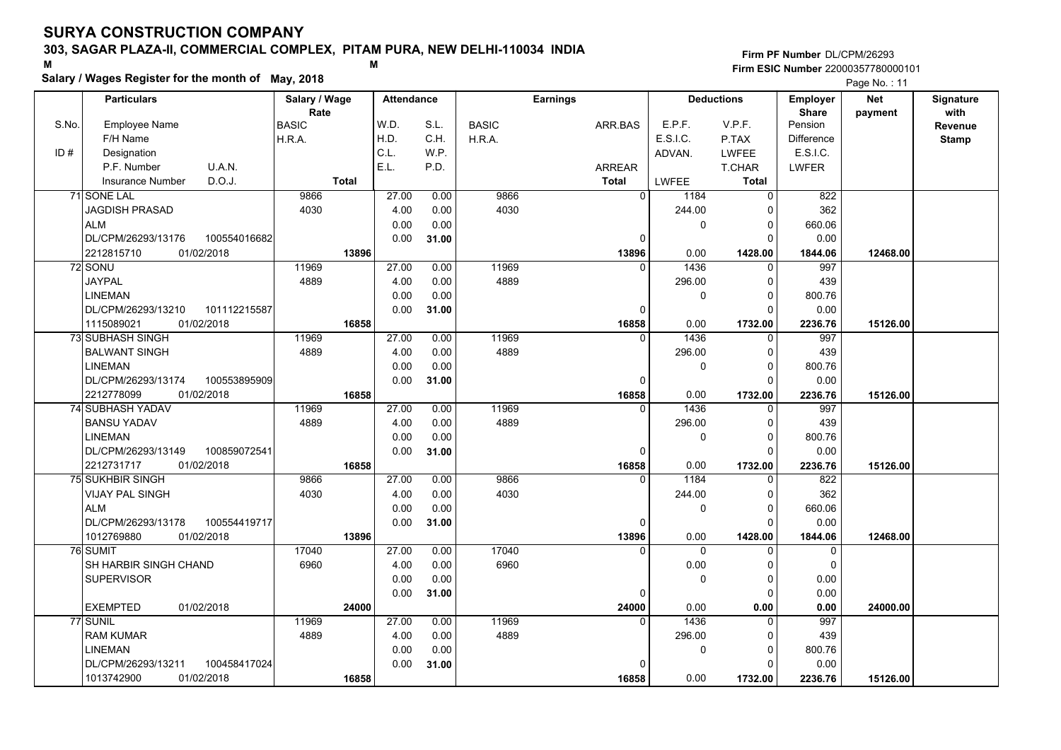## **303, SAGAR PLAZA-II, COMMERCIAL COMPLEX, PITAM PURA, NEW DELHI-110034 INDIA**

**Salary / Wages Register for the month of May, 2018 <sup>M</sup> <sup>M</sup>**

#### **Firm PF Number**DL/CPM/26293**Firm ESIC Number** 22000357780000101

|       | <b>Particulars</b>                 | Salary / Wage        | <b>Attendance</b> |       |              | <b>Earnings</b> |          | <b>Deductions</b>       | Employer                | <b>Net</b> | Signature       |
|-------|------------------------------------|----------------------|-------------------|-------|--------------|-----------------|----------|-------------------------|-------------------------|------------|-----------------|
| S.No. | Employee Name                      | Rate<br><b>BASIC</b> | W.D.              | S.L.  | <b>BASIC</b> | ARR BAS         | E.P.F.   | V.P.F.                  | <b>Share</b><br>Pension | payment    | with<br>Revenue |
|       | F/H Name                           | H.R.A.               | H.D.              | C.H.  | H.R.A.       |                 | E.S.I.C. | P.TAX                   | <b>Difference</b>       |            | <b>Stamp</b>    |
| ID#   | Designation                        |                      | C.L.              | W.P.  |              |                 | ADVAN.   | <b>LWFEE</b>            | E.S.I.C.                |            |                 |
|       | U.A.N.<br>P.F. Number              |                      | E.L.              | P.D.  |              | ARREAR          |          | T.CHAR                  | <b>LWFER</b>            |            |                 |
|       | D.O.J.<br><b>Insurance Number</b>  | <b>Total</b>         |                   |       |              | <b>Total</b>    | LWFEE    | <b>Total</b>            |                         |            |                 |
|       | 71 SONE LAL                        | 9866                 | 27.00             | 0.00  | 9866         | $\overline{0}$  | 1184     | 0                       | 822                     |            |                 |
|       | <b>JAGDISH PRASAD</b>              | 4030                 | 4.00              | 0.00  | 4030         |                 | 244.00   | $\Omega$                | 362                     |            |                 |
|       | <b>ALM</b>                         |                      | 0.00              | 0.00  |              |                 | 0        | $\mathbf 0$             | 660.06                  |            |                 |
|       | DL/CPM/26293/13176<br>100554016682 |                      | 0.00              | 31.00 |              | 0               |          | $\Omega$                | 0.00                    |            |                 |
|       | 2212815710<br>01/02/2018           | 13896                |                   |       |              | 13896           | 0.00     | 1428.00                 | 1844.06                 | 12468.00   |                 |
|       | 72 SONU                            | 11969                | 27.00             | 0.00  | 11969        | $\Omega$        | 1436     | $\Omega$                | 997                     |            |                 |
|       | <b>JAYPAL</b>                      | 4889                 | 4.00              | 0.00  | 4889         |                 | 296.00   | $\mathbf 0$             | 439                     |            |                 |
|       | <b>LINEMAN</b>                     |                      | 0.00              | 0.00  |              |                 | 0        | $\mathbf 0$             | 800.76                  |            |                 |
|       | DL/CPM/26293/13210<br>101112215587 |                      | 0.00              | 31.00 |              | 0               |          | $\mathbf 0$             | 0.00                    |            |                 |
|       | 1115089021<br>01/02/2018           | 16858                |                   |       |              | 16858           | 0.00     | 1732.00                 | 2236.76                 | 15126.00   |                 |
|       | 73 SUBHASH SINGH                   | 11969                | 27.00             | 0.00  | 11969        | $\Omega$        | 1436     | $\mathbf 0$             | 997                     |            |                 |
|       | <b>BALWANT SINGH</b>               | 4889                 | 4.00              | 0.00  | 4889         |                 | 296.00   | $\mathbf 0$             | 439                     |            |                 |
|       | <b>LINEMAN</b>                     |                      | 0.00              | 0.00  |              |                 | 0        | $\mathbf 0$             | 800.76                  |            |                 |
|       | DL/CPM/26293/13174<br>100553895909 |                      | 0.00              | 31.00 |              | $\Omega$        |          | $\Omega$                | 0.00                    |            |                 |
|       | 2212778099<br>01/02/2018           | 16858                |                   |       |              | 16858           | 0.00     | 1732.00                 | 2236.76                 | 15126.00   |                 |
|       | 74 SUBHASH YADAV                   | 11969                | 27.00             | 0.00  | 11969        | $\Omega$        | 1436     | 0                       | 997                     |            |                 |
|       | <b>BANSU YADAV</b>                 | 4889                 | 4.00              | 0.00  | 4889         |                 | 296.00   | 0                       | 439                     |            |                 |
|       | <b>LINEMAN</b>                     |                      | 0.00              | 0.00  |              |                 | 0        | $\mathbf 0$             | 800.76                  |            |                 |
|       | DL/CPM/26293/13149<br>100859072541 |                      | 0.00              | 31.00 |              | $\Omega$        |          | $\Omega$                | 0.00                    |            |                 |
|       | 2212731717<br>01/02/2018           | 16858                |                   |       |              | 16858           | 0.00     | 1732.00                 | 2236.76                 | 15126.00   |                 |
|       | <b>75 SUKHBIR SINGH</b>            | 9866                 | 27.00             | 0.00  | 9866         | $\Omega$        | 1184     | $\Omega$                | 822                     |            |                 |
|       | VIJAY PAL SINGH                    | 4030                 | 4.00              | 0.00  | 4030         |                 | 244.00   | 0                       | 362                     |            |                 |
|       | <b>ALM</b>                         |                      | 0.00              | 0.00  |              |                 | 0        | $\mathbf 0$             | 660.06                  |            |                 |
|       | DL/CPM/26293/13178<br>100554419717 |                      | 0.00              | 31.00 |              | 0               |          | $\Omega$                | 0.00                    |            |                 |
|       | 01/02/2018<br>1012769880           | 13896                |                   |       |              | 13896           | 0.00     | 1428.00                 | 1844.06                 | 12468.00   |                 |
|       | 76 SUMIT                           | 17040                | 27.00             | 0.00  | 17040        | $\Omega$        | $\Omega$ | $\mathbf 0$             | 0                       |            |                 |
|       | <b>SH HARBIR SINGH CHAND</b>       | 6960                 | 4.00              | 0.00  | 6960         |                 | 0.00     | $\mathbf 0$             | $\Omega$                |            |                 |
|       | <b>SUPERVISOR</b>                  |                      | 0.00              | 0.00  |              |                 | 0        | $\mathbf 0$             | 0.00                    |            |                 |
|       |                                    |                      | 0.00              | 31.00 |              | 0               |          | $\mathbf 0$             | 0.00                    |            |                 |
|       | 01/02/2018<br><b>EXEMPTED</b>      | 24000                |                   |       |              | 24000           | 0.00     | 0.00                    | 0.00                    | 24000.00   |                 |
|       | 77 SUNIL                           | 11969                | 27.00             | 0.00  | 11969        | $\Omega$        | 1436     | $\Omega$                | 997                     |            |                 |
|       | <b>RAM KUMAR</b>                   | 4889                 | 4.00              | 0.00  | 4889         |                 | 296.00   | 0                       | 439                     |            |                 |
|       | <b>LINEMAN</b>                     |                      | 0.00              | 0.00  |              | $\Omega$        | 0        | $\mathbf 0$<br>$\Omega$ | 800.76                  |            |                 |
|       | DL/CPM/26293/13211<br>100458417024 |                      | 0.00              | 31.00 |              |                 | 0.00     |                         | 0.00                    |            |                 |
|       | 01/02/2018<br>1013742900           | 16858                |                   |       |              | 16858           |          | 1732.00                 | 2236.76                 | 15126.00   |                 |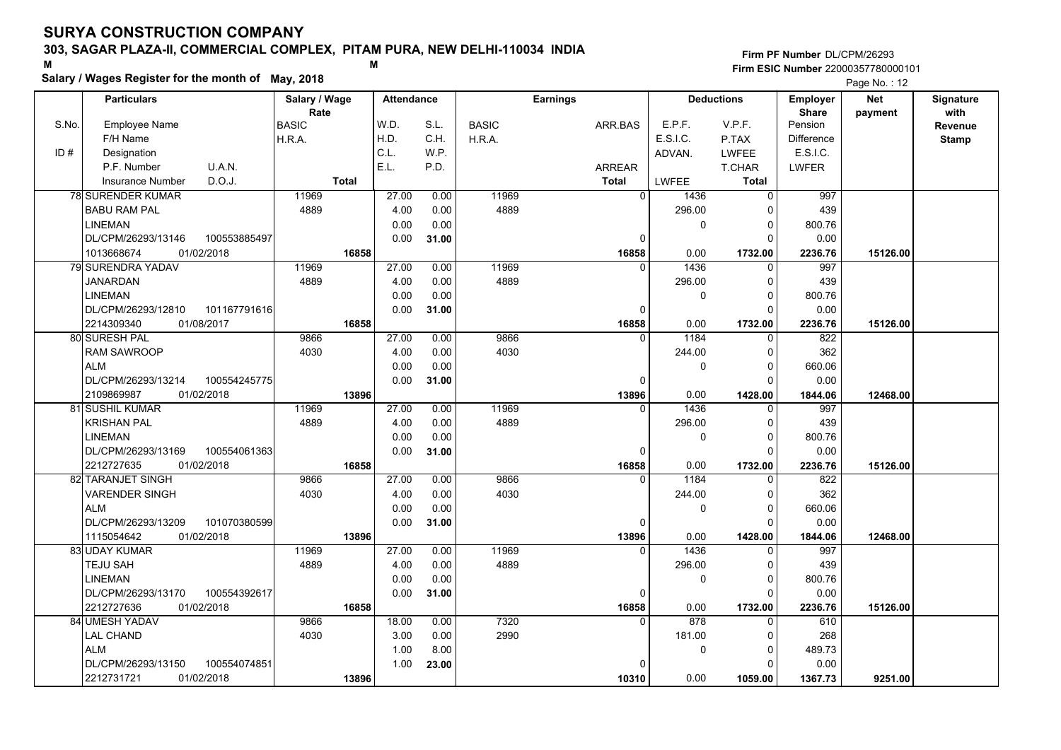## **303, SAGAR PLAZA-II, COMMERCIAL COMPLEX, PITAM PURA, NEW DELHI-110034 INDIA**

**Salary / Wages Register for the month of May, 2018 <sup>M</sup> <sup>M</sup>**

## **Firm PF Number**DL/CPM/26293**Firm ESIC Number** 22000357780000101

|       | <b>Particulars</b>                 | Salary / Wage        |              | <b>Attendance</b> |       |              | <b>Earnings</b> |                  | <b>Deductions</b> | <b>Employer</b>         | Net      | Signature    |
|-------|------------------------------------|----------------------|--------------|-------------------|-------|--------------|-----------------|------------------|-------------------|-------------------------|----------|--------------|
| S.No. | Employee Name                      | Rate<br><b>BASIC</b> |              | W.D.              | S.L.  | <b>BASIC</b> | ARR.BAS         | E.P.F.           | V.P.F.            | <b>Share</b><br>Pension | payment  | with         |
|       | F/H Name                           | H.R.A.               |              | H.D.              | C.H.  | H.R.A.       |                 | E.S.I.C.         | P.TAX             | Difference              |          | Revenue      |
| ID#   | Designation                        |                      |              | C.L.              | W.P.  |              |                 | ADVAN.           | <b>LWFEE</b>      | E.S.I.C.                |          | <b>Stamp</b> |
|       | U.A.N.<br>P.F. Number              |                      |              | E.L.              | P.D.  |              | <b>ARREAR</b>   |                  | T.CHAR            | <b>LWFER</b>            |          |              |
|       | D.O.J.                             |                      | <b>Total</b> |                   |       |              | <b>Total</b>    | LWFEE            | <b>Total</b>      |                         |          |              |
|       | <b>Insurance Number</b>            |                      |              |                   |       |              |                 | $\overline{0}$   |                   |                         |          |              |
|       | <b>78 SURENDER KUMAR</b>           | 11969                |              | 27.00             | 0.00  | 11969        |                 | 1436             | $\Omega$          | 997                     |          |              |
|       | <b>BABU RAM PAL</b>                | 4889                 |              | 4.00              | 0.00  | 4889         |                 | 296.00           | 0                 | 439                     |          |              |
|       | <b>LINEMAN</b>                     |                      |              | 0.00              | 0.00  |              |                 | 0                | $\mathbf 0$       | 800.76                  |          |              |
|       | 100553885497<br>DL/CPM/26293/13146 |                      |              | 0.00              | 31.00 |              |                 | 0                | $\Omega$          | 0.00                    |          |              |
|       | 1013668674<br>01/02/2018           |                      | 16858        |                   |       |              | 16858           | 0.00             | 1732.00           | 2236.76                 | 15126.00 |              |
|       | 79 SURENDRA YADAV                  | 11969                |              | 27.00             | 0.00  | 11969        |                 | 1436<br>$\Omega$ | $\Omega$          | 997                     |          |              |
|       | <b>JANARDAN</b>                    | 4889                 |              | 4.00              | 0.00  | 4889         |                 | 296.00           | 0                 | 439                     |          |              |
|       | <b>LINEMAN</b>                     |                      |              | 0.00              | 0.00  |              |                 | 0                | $\Omega$          | 800.76                  |          |              |
|       | DL/CPM/26293/12810<br>101167791616 |                      |              | 0.00              | 31.00 |              |                 | $\Omega$         | $\Omega$          | 0.00                    |          |              |
|       | 01/08/2017<br>2214309340           |                      | 16858        |                   |       |              | 16858           | 0.00             | 1732.00           | 2236.76                 | 15126.00 |              |
|       | 80 SURESH PAL                      | 9866                 |              | 27.00             | 0.00  | 9866         |                 | 1184<br>$\Omega$ | $\Omega$          | 822                     |          |              |
|       | <b>RAM SAWROOP</b>                 | 4030                 |              | 4.00              | 0.00  | 4030         |                 | 244.00           | 0                 | 362                     |          |              |
|       | <b>ALM</b>                         |                      |              | 0.00              | 0.00  |              |                 | 0                | $\Omega$          | 660.06                  |          |              |
|       | DL/CPM/26293/13214<br>100554245775 |                      |              | 0.00              | 31.00 |              |                 | $\Omega$         | $\Omega$          | 0.00                    |          |              |
|       | 01/02/2018<br>2109869987           |                      | 13896        |                   |       |              | 13896           | 0.00             | 1428.00           | 1844.06                 | 12468.00 |              |
|       | 81 SUSHIL KUMAR                    | 11969                |              | 27.00             | 0.00  | 11969        |                 | 1436<br>0        | 0                 | 997                     |          |              |
|       | <b>KRISHAN PAL</b>                 | 4889                 |              | 4.00              | 0.00  | 4889         |                 | 296.00           | $\Omega$          | 439                     |          |              |
|       | <b>LINEMAN</b>                     |                      |              | 0.00              | 0.00  |              |                 | 0                | $\Omega$          | 800.76                  |          |              |
|       | DL/CPM/26293/13169<br>100554061363 |                      |              | 0.00              | 31.00 |              |                 | $\Omega$         | $\Omega$          | 0.00                    |          |              |
|       | 2212727635<br>01/02/2018           |                      | 16858        |                   |       |              | 16858           | 0.00             | 1732.00           | 2236.76                 | 15126.00 |              |
|       | 82 TARANJET SINGH                  | 9866                 |              | 27.00             | 0.00  | 9866         |                 | 1184<br>$\Omega$ | ∩                 | 822                     |          |              |
|       | <b>VARENDER SINGH</b>              | 4030                 |              | 4.00              | 0.00  | 4030         |                 | 244.00           | $\Omega$          | 362                     |          |              |
|       | <b>ALM</b>                         |                      |              | 0.00              | 0.00  |              |                 | 0                | $\Omega$          | 660.06                  |          |              |
|       | DL/CPM/26293/13209<br>101070380599 |                      |              | 0.00              | 31.00 |              |                 | 0                | $\Omega$          | 0.00                    |          |              |
|       | 1115054642<br>01/02/2018           |                      | 13896        |                   |       |              | 13896           | 0.00             | 1428.00           | 1844.06                 | 12468.00 |              |
|       | 83 UDAY KUMAR                      | 11969                |              | 27.00             | 0.00  | 11969        |                 | 1436<br>$\Omega$ | O                 | 997                     |          |              |
|       | <b>TEJU SAH</b>                    | 4889                 |              | 4.00              | 0.00  | 4889         |                 | 296.00           | $\Omega$          | 439                     |          |              |
|       | <b>LINEMAN</b>                     |                      |              | 0.00              | 0.00  |              |                 | 0                | $\mathbf 0$       | 800.76                  |          |              |
|       | 100554392617<br>DL/CPM/26293/13170 |                      |              | 0.00              | 31.00 |              |                 | 0                | $\Omega$          | 0.00                    |          |              |
|       | 2212727636<br>01/02/2018           |                      | 16858        |                   |       |              | 16858           | 0.00             | 1732.00           | 2236.76                 | 15126.00 |              |
|       | 84 UMESH YADAV                     | 9866                 |              | 18.00             | 0.00  | 7320         |                 | 878<br>$\Omega$  | $\Omega$          | 610                     |          |              |
|       | <b>LAL CHAND</b>                   | 4030                 |              | 3.00              | 0.00  | 2990         |                 | 181.00           | $\Omega$          | 268                     |          |              |
|       | <b>ALM</b>                         |                      |              | 1.00              | 8.00  |              |                 | 0                | $\mathbf 0$       | 489.73                  |          |              |
|       | DL/CPM/26293/13150<br>100554074851 |                      |              | 1.00              | 23.00 |              |                 |                  | $\Omega$          | 0.00                    |          |              |
|       | 01/02/2018<br>2212731721           |                      | 13896        |                   |       |              | 10310           | 0.00             | 1059.00           | 1367.73                 | 9251.00  |              |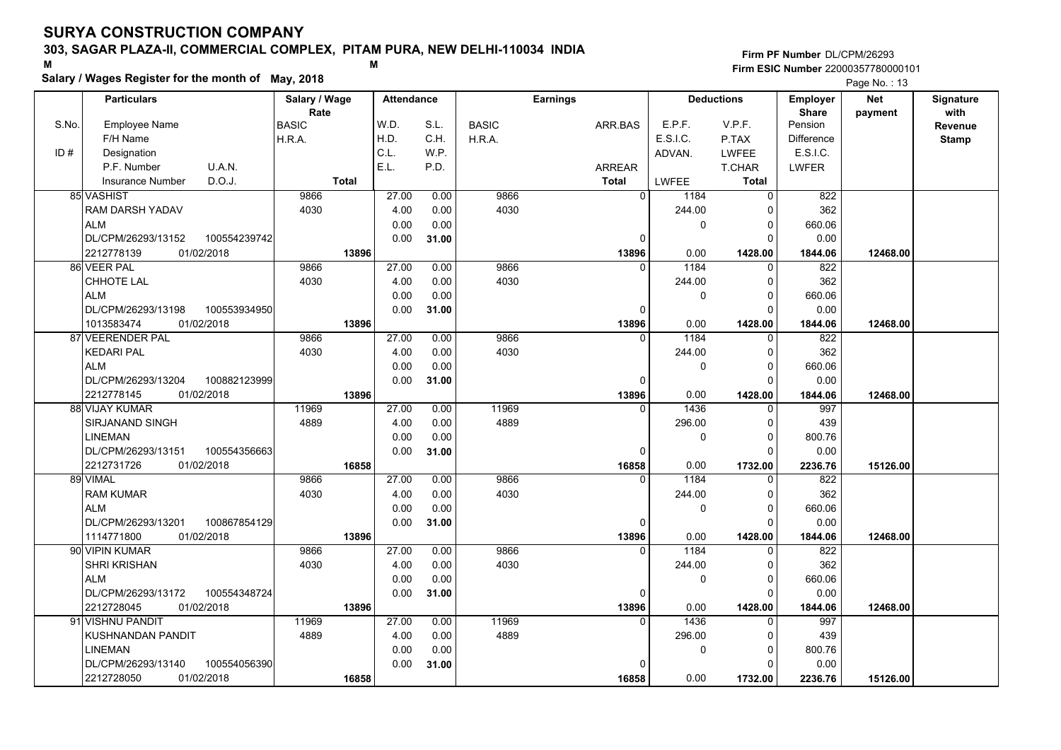## **303, SAGAR PLAZA-II, COMMERCIAL COMPLEX, PITAM PURA, NEW DELHI-110034 INDIA**

**Salary / Wages Register for the month of May, 2018 <sup>M</sup> <sup>M</sup>**

**Firm PF Number**DL/CPM/26293**Firm ESIC Number** 22000357780000101

|       | <b>Particulars</b>         |              | Salary / Wage<br>Rate |              | <b>Attendance</b> |       | <b>Earnings</b> |  | <b>Deductions</b> |          | <b>Employer</b> | <b>Net</b>              | Signature<br>with |              |
|-------|----------------------------|--------------|-----------------------|--------------|-------------------|-------|-----------------|--|-------------------|----------|-----------------|-------------------------|-------------------|--------------|
| S.No. | Employee Name              |              | <b>BASIC</b>          |              | W.D.              | S.L.  | <b>BASIC</b>    |  | ARR.BAS           | E.P.F.   | V.P.F.          | <b>Share</b><br>Pension | payment           | Revenue      |
|       | F/H Name                   |              | H.R.A.                |              | H.D.              | C.H.  | H.R.A.          |  |                   | E.S.I.C. | P.TAX           | <b>Difference</b>       |                   | <b>Stamp</b> |
| ID#   | Designation                |              |                       |              | C.L.              | W.P.  |                 |  |                   | ADVAN.   | <b>LWFEE</b>    | E.S.I.C.                |                   |              |
|       | P.F. Number<br>U.A.N.      |              |                       |              | E.L.              | P.D.  |                 |  | ARREAR            |          | T.CHAR          | <b>LWFER</b>            |                   |              |
|       | D.O.J.<br>Insurance Number |              |                       | <b>Total</b> |                   |       |                 |  | Total             | LWFEE    | Total           |                         |                   |              |
|       | 85 VASHIST                 |              |                       |              | 27.00             |       | 9866            |  | $\overline{0}$    |          |                 |                         |                   |              |
|       |                            |              | 9866                  |              |                   | 0.00  |                 |  |                   | 1184     | $\mathbf 0$     | 822                     |                   |              |
|       | RAM DARSH YADAV            |              | 4030                  |              | 4.00              | 0.00  | 4030            |  |                   | 244.00   | 0               | 362                     |                   |              |
|       | <b>ALM</b>                 |              |                       |              | 0.00              | 0.00  |                 |  |                   | 0        | $\mathbf 0$     | 660.06                  |                   |              |
|       | DL/CPM/26293/13152         | 100554239742 |                       |              | 0.00              | 31.00 |                 |  | 0                 |          | $\Omega$        | 0.00                    |                   |              |
|       | 2212778139<br>01/02/2018   |              |                       | 13896        |                   |       |                 |  | 13896             | 0.00     | 1428.00         | 1844.06                 | 12468.00          |              |
|       | 86 VEER PAL                |              | 9866                  |              | 27.00             | 0.00  | 9866            |  | $\Omega$          | 1184     | $\mathbf 0$     | 822                     |                   |              |
|       | CHHOTE LAL                 |              | 4030                  |              | 4.00              | 0.00  | 4030            |  |                   | 244.00   | $\mathbf 0$     | 362                     |                   |              |
|       | <b>ALM</b>                 |              |                       |              | 0.00              | 0.00  |                 |  |                   | 0        | $\mathbf 0$     | 660.06                  |                   |              |
|       | DL/CPM/26293/13198         | 100553934950 |                       |              | 0.00              | 31.00 |                 |  | $\Omega$          |          | $\Omega$        | 0.00                    |                   |              |
|       | 01/02/2018<br>1013583474   |              |                       | 13896        |                   |       |                 |  | 13896             | 0.00     | 1428.00         | 1844.06                 | 12468.00          |              |
|       | 87 VEERENDER PAL           |              | 9866                  |              | 27.00             | 0.00  | 9866            |  |                   | 1184     | $\mathbf 0$     | 822                     |                   |              |
|       | <b>KEDARI PAL</b>          |              | 4030                  |              | 4.00              | 0.00  | 4030            |  |                   | 244.00   | 0               | 362                     |                   |              |
|       | <b>ALM</b>                 |              |                       |              | 0.00              | 0.00  |                 |  |                   | 0        | $\mathbf 0$     | 660.06                  |                   |              |
|       | DL/CPM/26293/13204         | 100882123999 |                       |              | 0.00              | 31.00 |                 |  | $\Omega$          |          | $\Omega$        | 0.00                    |                   |              |
|       | 2212778145<br>01/02/2018   |              |                       | 13896        |                   |       |                 |  | 13896             | 0.00     | 1428.00         | 1844.06                 | 12468.00          |              |
|       | 88 VIJAY KUMAR             |              | 11969                 |              | 27.00             | 0.00  | 11969           |  | $\Omega$          | 1436     | $\mathbf 0$     | 997                     |                   |              |
|       | SIRJANAND SINGH            |              | 4889                  |              | 4.00              | 0.00  | 4889            |  |                   | 296.00   | 0               | 439                     |                   |              |
|       | <b>LINEMAN</b>             |              |                       |              | 0.00              | 0.00  |                 |  |                   | 0        | $\mathbf 0$     | 800.76                  |                   |              |
|       | DL/CPM/26293/13151         | 100554356663 |                       |              | 0.00              | 31.00 |                 |  | 0                 |          | $\Omega$        | 0.00                    |                   |              |
|       | 01/02/2018<br>2212731726   |              |                       | 16858        |                   |       |                 |  | 16858             | 0.00     | 1732.00         | 2236.76                 | 15126.00          |              |
|       | 89 VIMAL                   |              | 9866                  |              | 27.00             | 0.00  | 9866            |  | $\Omega$          | 1184     | $\mathbf 0$     | 822                     |                   |              |
|       | <b>RAM KUMAR</b>           |              | 4030                  |              | 4.00              | 0.00  | 4030            |  |                   | 244.00   | $\mathbf 0$     | 362                     |                   |              |
|       | <b>ALM</b>                 |              |                       |              | 0.00              | 0.00  |                 |  |                   | 0        | $\mathbf 0$     | 660.06                  |                   |              |
|       | DL/CPM/26293/13201         | 100867854129 |                       |              | 0.00              | 31.00 |                 |  | 0                 |          | $\Omega$        | 0.00                    |                   |              |
|       | 01/02/2018<br>1114771800   |              |                       | 13896        |                   |       |                 |  | 13896             | 0.00     | 1428.00         | 1844.06                 | 12468.00          |              |
|       | 90 VIPIN KUMAR             |              | 9866                  |              | 27.00             | 0.00  | 9866            |  |                   | 1184     | $\Omega$        | 822                     |                   |              |
|       | <b>SHRI KRISHAN</b>        |              | 4030                  |              | 4.00              | 0.00  | 4030            |  |                   | 244.00   | $\mathbf 0$     | 362                     |                   |              |
|       | <b>ALM</b>                 |              |                       |              | 0.00              | 0.00  |                 |  |                   | 0        | $\mathbf 0$     | 660.06                  |                   |              |
|       | DL/CPM/26293/13172         | 100554348724 |                       |              | 0.00              | 31.00 |                 |  | 0                 |          | $\Omega$        | 0.00                    |                   |              |
|       | 2212728045<br>01/02/2018   |              |                       | 13896        |                   |       |                 |  | 13896             | 0.00     | 1428.00         | 1844.06                 | 12468.00          |              |
|       | 91 VISHNU PANDIT           |              | 11969                 |              | 27.00             | 0.00  | 11969           |  | $\Omega$          | 1436     | $\mathbf 0$     | 997                     |                   |              |
|       | KUSHNANDAN PANDIT          |              | 4889                  |              | 4.00              | 0.00  | 4889            |  |                   | 296.00   | 0               | 439                     |                   |              |
|       | <b>LINEMAN</b>             |              |                       |              | 0.00              | 0.00  |                 |  |                   | 0        | $\mathbf 0$     | 800.76                  |                   |              |
|       | DL/CPM/26293/13140         | 100554056390 |                       |              | 0.00              | 31.00 |                 |  | <sup>0</sup>      |          | $\mathbf 0$     | 0.00                    |                   |              |
|       | 2212728050<br>01/02/2018   |              |                       | 16858        |                   |       |                 |  | 16858             | 0.00     | 1732.00         | 2236.76                 | 15126.00          |              |